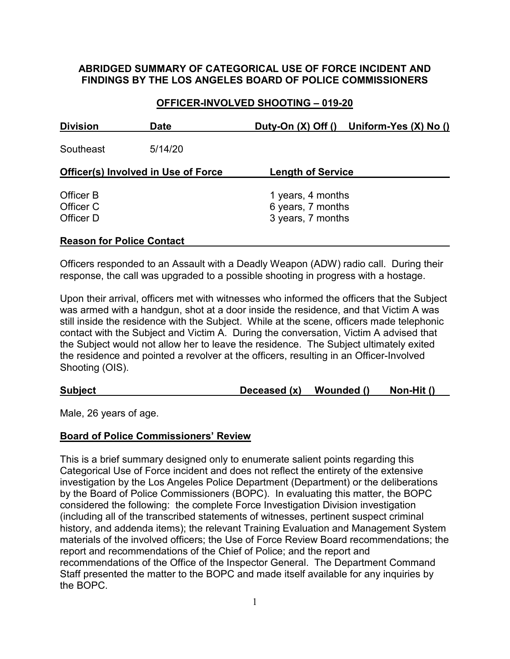# **ABRIDGED SUMMARY OF CATEGORICAL USE OF FORCE INCIDENT AND FINDINGS BY THE LOS ANGELES BOARD OF POLICE COMMISSIONERS**

# **OFFICER-INVOLVED SHOOTING – 019-20**

| <b>Division</b>                            | <b>Date</b> |                                        | Duty-On (X) Off () Uniform-Yes (X) No () |  |  |  |
|--------------------------------------------|-------------|----------------------------------------|------------------------------------------|--|--|--|
| Southeast                                  | 5/14/20     |                                        |                                          |  |  |  |
| <b>Officer(s) Involved in Use of Force</b> |             | <b>Length of Service</b>               |                                          |  |  |  |
| Officer B<br>Officer C                     |             | 1 years, 4 months<br>6 years, 7 months |                                          |  |  |  |
| Officer D                                  |             | 3 years, 7 months                      |                                          |  |  |  |

### **Reason for Police Contact**

Officers responded to an Assault with a Deadly Weapon (ADW) radio call. During their response, the call was upgraded to a possible shooting in progress with a hostage.

Upon their arrival, officers met with witnesses who informed the officers that the Subject was armed with a handgun, shot at a door inside the residence, and that Victim A was still inside the residence with the Subject. While at the scene, officers made telephonic contact with the Subject and Victim A. During the conversation, Victim A advised that the Subject would not allow her to leave the residence. The Subject ultimately exited the residence and pointed a revolver at the officers, resulting in an Officer-Involved Shooting (OIS).

### **Subject Deceased (x) Wounded () Non-Hit ()**

Male, 26 years of age.

### **Board of Police Commissioners' Review**

This is a brief summary designed only to enumerate salient points regarding this Categorical Use of Force incident and does not reflect the entirety of the extensive investigation by the Los Angeles Police Department (Department) or the deliberations by the Board of Police Commissioners (BOPC). In evaluating this matter, the BOPC considered the following: the complete Force Investigation Division investigation (including all of the transcribed statements of witnesses, pertinent suspect criminal history, and addenda items); the relevant Training Evaluation and Management System materials of the involved officers; the Use of Force Review Board recommendations; the report and recommendations of the Chief of Police; and the report and recommendations of the Office of the Inspector General. The Department Command Staff presented the matter to the BOPC and made itself available for any inquiries by the BOPC.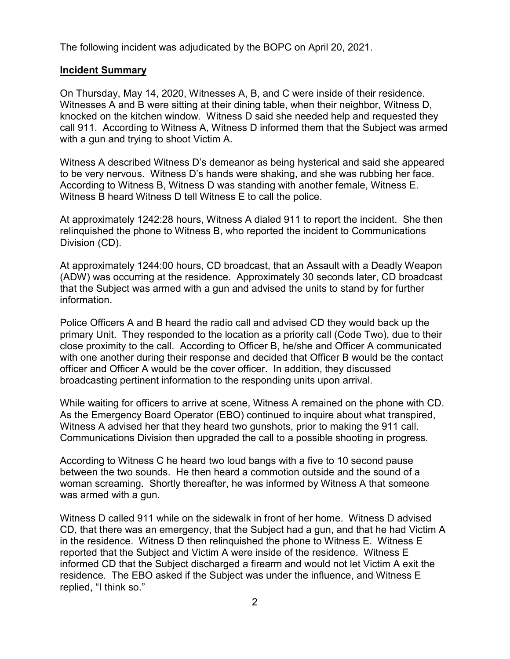The following incident was adjudicated by the BOPC on April 20, 2021.

### **Incident Summary**

On Thursday, May 14, 2020, Witnesses A, B, and C were inside of their residence. Witnesses A and B were sitting at their dining table, when their neighbor, Witness D, knocked on the kitchen window. Witness D said she needed help and requested they call 911. According to Witness A, Witness D informed them that the Subject was armed with a gun and trying to shoot Victim A.

Witness A described Witness D's demeanor as being hysterical and said she appeared to be very nervous. Witness D's hands were shaking, and she was rubbing her face. According to Witness B, Witness D was standing with another female, Witness E. Witness B heard Witness D tell Witness E to call the police.

At approximately 1242:28 hours, Witness A dialed 911 to report the incident. She then relinquished the phone to Witness B, who reported the incident to Communications Division (CD).

At approximately 1244:00 hours, CD broadcast, that an Assault with a Deadly Weapon (ADW) was occurring at the residence. Approximately 30 seconds later, CD broadcast that the Subject was armed with a gun and advised the units to stand by for further information.

Police Officers A and B heard the radio call and advised CD they would back up the primary Unit. They responded to the location as a priority call (Code Two), due to their close proximity to the call. According to Officer B, he/she and Officer A communicated with one another during their response and decided that Officer B would be the contact officer and Officer A would be the cover officer. In addition, they discussed broadcasting pertinent information to the responding units upon arrival.

While waiting for officers to arrive at scene, Witness A remained on the phone with CD. As the Emergency Board Operator (EBO) continued to inquire about what transpired, Witness A advised her that they heard two gunshots, prior to making the 911 call. Communications Division then upgraded the call to a possible shooting in progress.

According to Witness C he heard two loud bangs with a five to 10 second pause between the two sounds. He then heard a commotion outside and the sound of a woman screaming. Shortly thereafter, he was informed by Witness A that someone was armed with a gun.

Witness D called 911 while on the sidewalk in front of her home. Witness D advised CD, that there was an emergency, that the Subject had a gun, and that he had Victim A in the residence. Witness D then relinquished the phone to Witness E. Witness E reported that the Subject and Victim A were inside of the residence. Witness E informed CD that the Subject discharged a firearm and would not let Victim A exit the residence. The EBO asked if the Subject was under the influence, and Witness E replied, "I think so."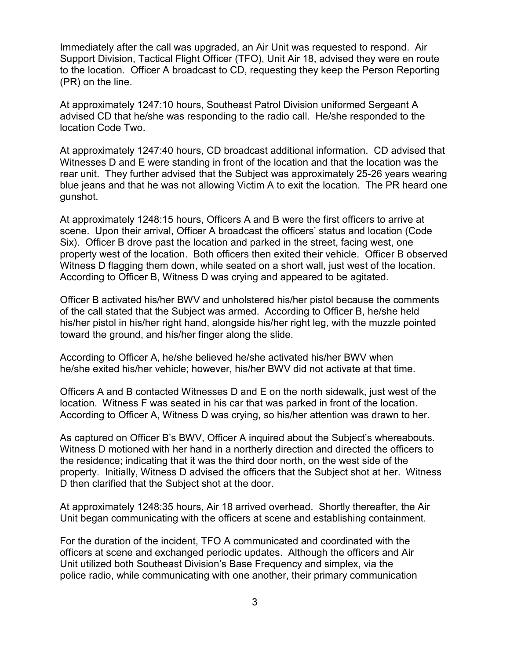Immediately after the call was upgraded, an Air Unit was requested to respond. Air Support Division, Tactical Flight Officer (TFO), Unit Air 18, advised they were en route to the location. Officer A broadcast to CD, requesting they keep the Person Reporting (PR) on the line.

At approximately 1247:10 hours, Southeast Patrol Division uniformed Sergeant A advised CD that he/she was responding to the radio call. He/she responded to the location Code Two.

At approximately 1247:40 hours, CD broadcast additional information. CD advised that Witnesses D and E were standing in front of the location and that the location was the rear unit. They further advised that the Subject was approximately 25-26 years wearing blue jeans and that he was not allowing Victim A to exit the location. The PR heard one gunshot.

At approximately 1248:15 hours, Officers A and B were the first officers to arrive at scene. Upon their arrival, Officer A broadcast the officers' status and location (Code Six). Officer B drove past the location and parked in the street, facing west, one property west of the location. Both officers then exited their vehicle. Officer B observed Witness D flagging them down, while seated on a short wall, just west of the location. According to Officer B, Witness D was crying and appeared to be agitated.

Officer B activated his/her BWV and unholstered his/her pistol because the comments of the call stated that the Subject was armed. According to Officer B, he/she held his/her pistol in his/her right hand, alongside his/her right leg, with the muzzle pointed toward the ground, and his/her finger along the slide.

According to Officer A, he/she believed he/she activated his/her BWV when he/she exited his/her vehicle; however, his/her BWV did not activate at that time.

Officers A and B contacted Witnesses D and E on the north sidewalk, just west of the location. Witness F was seated in his car that was parked in front of the location. According to Officer A, Witness D was crying, so his/her attention was drawn to her.

As captured on Officer B's BWV, Officer A inquired about the Subject's whereabouts. Witness D motioned with her hand in a northerly direction and directed the officers to the residence; indicating that it was the third door north, on the west side of the property. Initially, Witness D advised the officers that the Subject shot at her. Witness D then clarified that the Subject shot at the door.

At approximately 1248:35 hours, Air 18 arrived overhead. Shortly thereafter, the Air Unit began communicating with the officers at scene and establishing containment.

For the duration of the incident, TFO A communicated and coordinated with the officers at scene and exchanged periodic updates. Although the officers and Air Unit utilized both Southeast Division's Base Frequency and simplex, via the police radio, while communicating with one another, their primary communication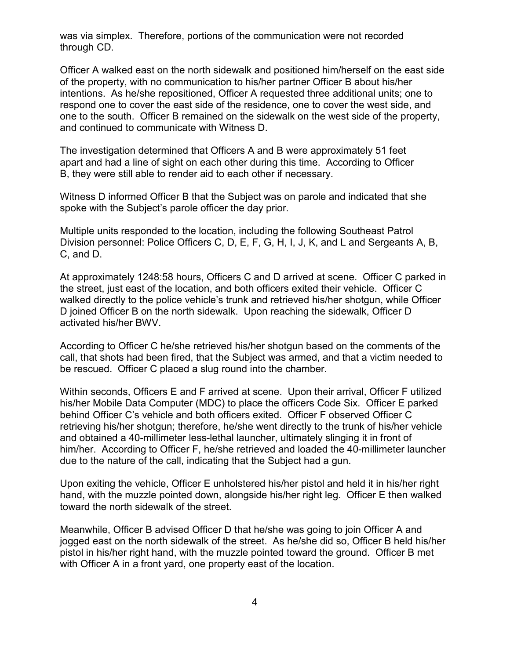was via simplex. Therefore, portions of the communication were not recorded through CD.

Officer A walked east on the north sidewalk and positioned him/herself on the east side of the property, with no communication to his/her partner Officer B about his/her intentions. As he/she repositioned, Officer A requested three additional units; one to respond one to cover the east side of the residence, one to cover the west side, and one to the south. Officer B remained on the sidewalk on the west side of the property, and continued to communicate with Witness D.

The investigation determined that Officers A and B were approximately 51 feet apart and had a line of sight on each other during this time.According to Officer B, they were still able to render aid to each other if necessary.

Witness D informed Officer B that the Subject was on parole and indicated that she spoke with the Subject's parole officer the day prior.

Multiple units responded to the location, including the following Southeast Patrol Division personnel: Police Officers C, D, E, F, G, H, I, J, K, and L and Sergeants A, B, C, and D.

At approximately 1248:58 hours, Officers C and D arrived at scene. Officer C parked in the street, just east of the location, and both officers exited their vehicle. Officer C walked directly to the police vehicle's trunk and retrieved his/her shotgun, while Officer D joined Officer B on the north sidewalk. Upon reaching the sidewalk, Officer D activated his/her BWV.

According to Officer C he/she retrieved his/her shotgun based on the comments of the call, that shots had been fired, that the Subject was armed, and that a victim needed to be rescued. Officer C placed a slug round into the chamber.

Within seconds, Officers E and F arrived at scene. Upon their arrival, Officer F utilized his/her Mobile Data Computer (MDC) to place the officers Code Six. Officer E parked behind Officer C's vehicle and both officers exited. Officer F observed Officer C retrieving his/her shotgun; therefore, he/she went directly to the trunk of his/her vehicle and obtained a 40-millimeter less-lethal launcher, ultimately slinging it in front of him/her. According to Officer F, he/she retrieved and loaded the 40-millimeter launcher due to the nature of the call, indicating that the Subject had a gun.

Upon exiting the vehicle, Officer E unholstered his/her pistol and held it in his/her right hand, with the muzzle pointed down, alongside his/her right leg. Officer E then walked toward the north sidewalk of the street.

Meanwhile, Officer B advised Officer D that he/she was going to join Officer A and jogged east on the north sidewalk of the street. As he/she did so, Officer B held his/her pistol in his/her right hand, with the muzzle pointed toward the ground. Officer B met with Officer A in a front yard, one property east of the location.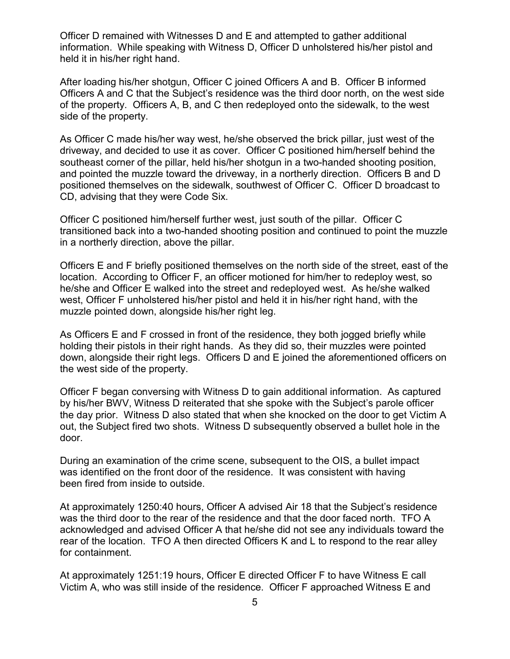Officer D remained with Witnesses D and E and attempted to gather additional information. While speaking with Witness D, Officer D unholstered his/her pistol and held it in his/her right hand.

After loading his/her shotgun, Officer C joined Officers A and B. Officer B informed Officers A and C that the Subject's residence was the third door north, on the west side of the property. Officers A, B, and C then redeployed onto the sidewalk, to the west side of the property.

As Officer C made his/her way west, he/she observed the brick pillar, just west of the driveway, and decided to use it as cover. Officer C positioned him/herself behind the southeast corner of the pillar, held his/her shotgun in a two-handed shooting position, and pointed the muzzle toward the driveway, in a northerly direction. Officers B and D positioned themselves on the sidewalk, southwest of Officer C. Officer D broadcast to CD, advising that they were Code Six.

Officer C positioned him/herself further west, just south of the pillar. Officer C transitioned back into a two-handed shooting position and continued to point the muzzle in a northerly direction, above the pillar.

Officers E and F briefly positioned themselves on the north side of the street, east of the location. According to Officer F, an officer motioned for him/her to redeploy west, so he/she and Officer E walked into the street and redeployed west. As he/she walked west, Officer F unholstered his/her pistol and held it in his/her right hand, with the muzzle pointed down, alongside his/her right leg.

As Officers E and F crossed in front of the residence, they both jogged briefly while holding their pistols in their right hands. As they did so, their muzzles were pointed down, alongside their right legs. Officers D and E joined the aforementioned officers on the west side of the property.

Officer F began conversing with Witness D to gain additional information. As captured by his/her BWV, Witness D reiterated that she spoke with the Subject's parole officer the day prior. Witness D also stated that when she knocked on the door to get Victim A out, the Subject fired two shots. Witness D subsequently observed a bullet hole in the door.

During an examination of the crime scene, subsequent to the OIS, a bullet impact was identified on the front door of the residence. It was consistent with having been fired from inside to outside.

At approximately 1250:40 hours, Officer A advised Air 18 that the Subject's residence was the third door to the rear of the residence and that the door faced north. TFO A acknowledged and advised Officer A that he/she did not see any individuals toward the rear of the location. TFO A then directed Officers K and L to respond to the rear alley for containment.

At approximately 1251:19 hours, Officer E directed Officer F to have Witness E call Victim A, who was still inside of the residence. Officer F approached Witness E and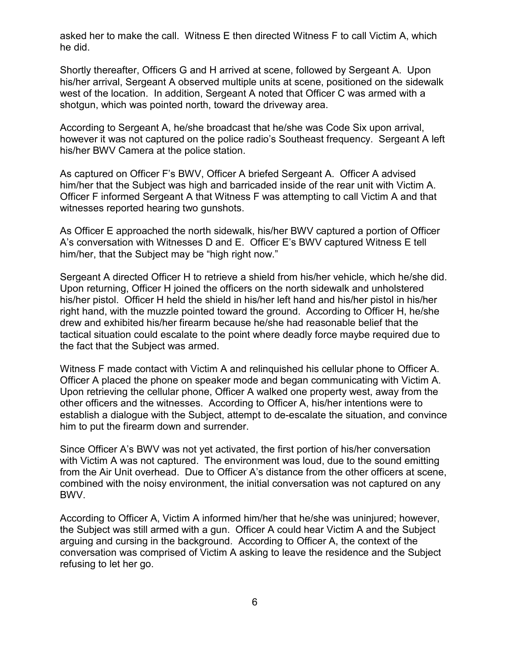asked her to make the call. Witness E then directed Witness F to call Victim A, which he did.

Shortly thereafter, Officers G and H arrived at scene, followed by Sergeant A. Upon his/her arrival, Sergeant A observed multiple units at scene, positioned on the sidewalk west of the location. In addition, Sergeant A noted that Officer C was armed with a shotgun, which was pointed north, toward the driveway area.

According to Sergeant A, he/she broadcast that he/she was Code Six upon arrival, however it was not captured on the police radio's Southeast frequency. Sergeant A left his/her BWV Camera at the police station.

As captured on Officer F's BWV, Officer A briefed Sergeant A. Officer A advised him/her that the Subject was high and barricaded inside of the rear unit with Victim A. Officer F informed Sergeant A that Witness F was attempting to call Victim A and that witnesses reported hearing two gunshots.

As Officer E approached the north sidewalk, his/her BWV captured a portion of Officer A's conversation with Witnesses D and E. Officer E's BWV captured Witness E tell him/her, that the Subject may be "high right now."

Sergeant A directed Officer H to retrieve a shield from his/her vehicle, which he/she did. Upon returning, Officer H joined the officers on the north sidewalk and unholstered his/her pistol. Officer H held the shield in his/her left hand and his/her pistol in his/her right hand, with the muzzle pointed toward the ground. According to Officer H, he/she drew and exhibited his/her firearm because he/she had reasonable belief that the tactical situation could escalate to the point where deadly force maybe required due to the fact that the Subject was armed.

Witness F made contact with Victim A and relinquished his cellular phone to Officer A. Officer A placed the phone on speaker mode and began communicating with Victim A. Upon retrieving the cellular phone, Officer A walked one property west, away from the other officers and the witnesses. According to Officer A, his/her intentions were to establish a dialogue with the Subject, attempt to de-escalate the situation, and convince him to put the firearm down and surrender.

Since Officer A's BWV was not yet activated, the first portion of his/her conversation with Victim A was not captured. The environment was loud, due to the sound emitting from the Air Unit overhead. Due to Officer A's distance from the other officers at scene, combined with the noisy environment, the initial conversation was not captured on any BWV.

According to Officer A, Victim A informed him/her that he/she was uninjured; however, the Subject was still armed with a gun. Officer A could hear Victim A and the Subject arguing and cursing in the background. According to Officer A, the context of the conversation was comprised of Victim A asking to leave the residence and the Subject refusing to let her go.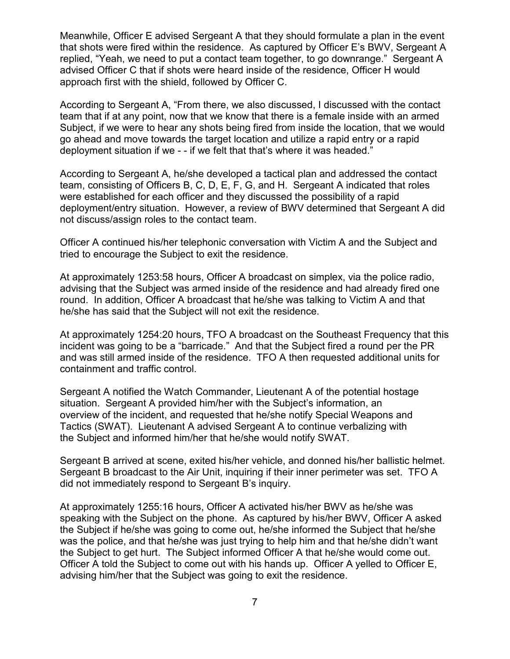Meanwhile, Officer E advised Sergeant A that they should formulate a plan in the event that shots were fired within the residence. As captured by Officer E's BWV, Sergeant A replied, "Yeah, we need to put a contact team together, to go downrange." Sergeant A advised Officer C that if shots were heard inside of the residence, Officer H would approach first with the shield, followed by Officer C.

According to Sergeant A, "From there, we also discussed, I discussed with the contact team that if at any point, now that we know that there is a female inside with an armed Subject, if we were to hear any shots being fired from inside the location, that we would go ahead and move towards the target location and utilize a rapid entry or a rapid deployment situation if we - - if we felt that that's where it was headed."

According to Sergeant A, he/she developed a tactical plan and addressed the contact team, consisting of Officers B, C, D, E, F, G, and H. Sergeant A indicated that roles were established for each officer and they discussed the possibility of a rapid deployment/entry situation. However, a review of BWV determined that Sergeant A did not discuss/assign roles to the contact team.

Officer A continued his/her telephonic conversation with Victim A and the Subject and tried to encourage the Subject to exit the residence.

At approximately 1253:58 hours, Officer A broadcast on simplex, via the police radio, advising that the Subject was armed inside of the residence and had already fired one round. In addition, Officer A broadcast that he/she was talking to Victim A and that he/she has said that the Subject will not exit the residence.

At approximately 1254:20 hours, TFO A broadcast on the Southeast Frequency that this incident was going to be a "barricade." And that the Subject fired a round per the PR and was still armed inside of the residence. TFO A then requested additional units for containment and traffic control.

Sergeant A notified the Watch Commander, Lieutenant A of the potential hostage situation. Sergeant A provided him/her with the Subject's information, an overview of the incident, and requested that he/she notify Special Weapons and Tactics (SWAT). Lieutenant A advised Sergeant A to continue verbalizing with the Subject and informed him/her that he/she would notify SWAT.

Sergeant B arrived at scene, exited his/her vehicle, and donned his/her ballistic helmet. Sergeant B broadcast to the Air Unit, inquiring if their inner perimeter was set. TFO A did not immediately respond to Sergeant B's inquiry.

At approximately 1255:16 hours, Officer A activated his/her BWV as he/she was speaking with the Subject on the phone. As captured by his/her BWV, Officer A asked the Subject if he/she was going to come out, he/she informed the Subject that he/she was the police, and that he/she was just trying to help him and that he/she didn't want the Subject to get hurt. The Subject informed Officer A that he/she would come out. Officer A told the Subject to come out with his hands up. Officer A yelled to Officer E, advising him/her that the Subject was going to exit the residence.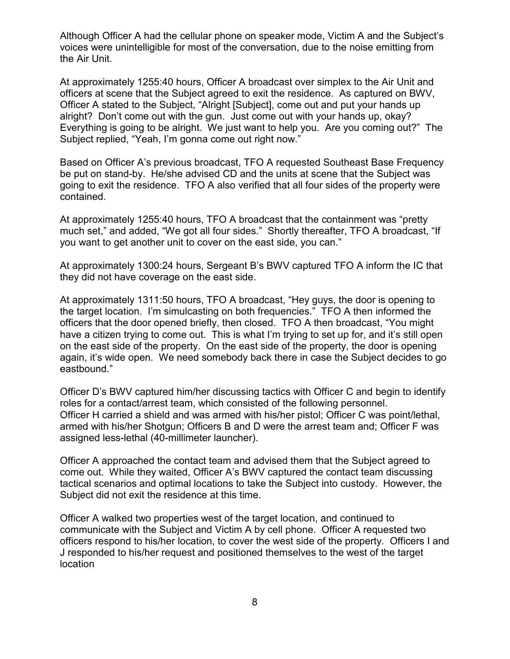Although Officer A had the cellular phone on speaker mode, Victim A and the Subject's voices were unintelligible for most of the conversation, due to the noise emitting from the Air Unit.

At approximately 1255:40 hours, Officer A broadcast over simplex to the Air Unit and officers at scene that the Subject agreed to exit the residence. As captured on BWV, Officer A stated to the Subject, "Alright [Subject], come out and put your hands up alright? Don't come out with the gun. Just come out with your hands up, okay? Everything is going to be alright. We just want to help you. Are you coming out?" The Subject replied, "Yeah, I'm gonna come out right now."

Based on Officer A's previous broadcast, TFO A requested Southeast Base Frequency be put on stand-by. He/she advised CD and the units at scene that the Subject was going to exit the residence. TFO A also verified that all four sides of the property were contained.

At approximately 1255:40 hours, TFO A broadcast that the containment was "pretty much set," and added, "We got all four sides." Shortly thereafter, TFO A broadcast, "If you want to get another unit to cover on the east side, you can."

At approximately 1300:24 hours, Sergeant B's BWV captured TFO A inform the IC that they did not have coverage on the east side.

At approximately 1311:50 hours, TFO A broadcast, "Hey guys, the door is opening to the target location. I'm simulcasting on both frequencies." TFO A then informed the officers that the door opened briefly, then closed. TFO A then broadcast, "You might have a citizen trying to come out. This is what I'm trying to set up for, and it's still open on the east side of the property. On the east side of the property, the door is opening again, it's wide open. We need somebody back there in case the Subject decides to go eastbound."

Officer D's BWV captured him/her discussing tactics with Officer C and begin to identify roles for a contact/arrest team, which consisted of the following personnel. Officer H carried a shield and was armed with his/her pistol; Officer C was point/lethal, armed with his/her Shotgun; Officers B and D were the arrest team and; Officer F was assigned less-lethal (40-millimeter launcher).

Officer A approached the contact team and advised them that the Subject agreed to come out. While they waited, Officer A's BWV captured the contact team discussing tactical scenarios and optimal locations to take the Subject into custody. However, the Subject did not exit the residence at this time.

Officer A walked two properties west of the target location, and continued to communicate with the Subject and Victim A by cell phone. Officer A requested two officers respond to his/her location, to cover the west side of the property. Officers I and J responded to his/her request and positioned themselves to the west of the target location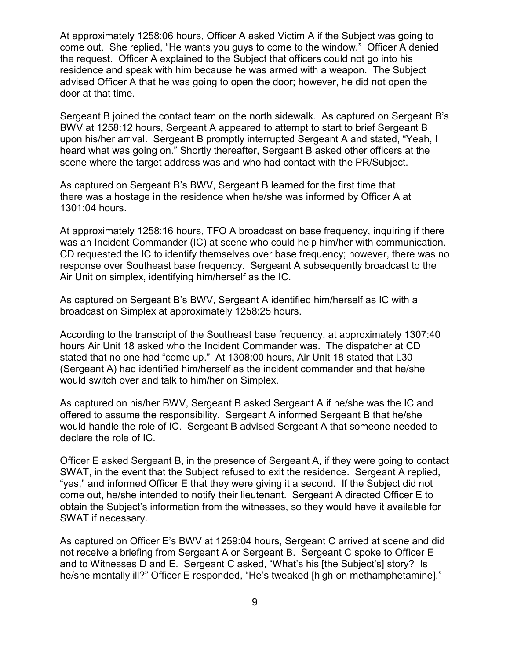At approximately 1258:06 hours, Officer A asked Victim A if the Subject was going to come out. She replied, "He wants you guys to come to the window." Officer A denied the request. Officer A explained to the Subject that officers could not go into his residence and speak with him because he was armed with a weapon. The Subject advised Officer A that he was going to open the door; however, he did not open the door at that time.

Sergeant B joined the contact team on the north sidewalk. As captured on Sergeant B's BWV at 1258:12 hours, Sergeant A appeared to attempt to start to brief Sergeant B upon his/her arrival. Sergeant B promptly interrupted Sergeant A and stated, "Yeah, I heard what was going on." Shortly thereafter, Sergeant B asked other officers at the scene where the target address was and who had contact with the PR/Subject.

As captured on Sergeant B's BWV, Sergeant B learned for the first time that there was a hostage in the residence when he/she was informed by Officer A at 1301:04 hours.

At approximately 1258:16 hours, TFO A broadcast on base frequency, inquiring if there was an Incident Commander (IC) at scene who could help him/her with communication. CD requested the IC to identify themselves over base frequency; however, there was no response over Southeast base frequency. Sergeant A subsequently broadcast to the Air Unit on simplex, identifying him/herself as the IC.

As captured on Sergeant B's BWV, Sergeant A identified him/herself as IC with a broadcast on Simplex at approximately 1258:25 hours.

According to the transcript of the Southeast base frequency, at approximately 1307:40 hours Air Unit 18 asked who the Incident Commander was. The dispatcher at CD stated that no one had "come up." At 1308:00 hours, Air Unit 18 stated that L30 (Sergeant A) had identified him/herself as the incident commander and that he/she would switch over and talk to him/her on Simplex.

As captured on his/her BWV, Sergeant B asked Sergeant A if he/she was the IC and offered to assume the responsibility. Sergeant A informed Sergeant B that he/she would handle the role of IC. Sergeant B advised Sergeant A that someone needed to declare the role of IC.

Officer E asked Sergeant B, in the presence of Sergeant A, if they were going to contact SWAT, in the event that the Subject refused to exit the residence. Sergeant A replied, "yes," and informed Officer E that they were giving it a second. If the Subject did not come out, he/she intended to notify their lieutenant. Sergeant A directed Officer E to obtain the Subject's information from the witnesses, so they would have it available for SWAT if necessary.

As captured on Officer E's BWV at 1259:04 hours, Sergeant C arrived at scene and did not receive a briefing from Sergeant A or Sergeant B. Sergeant C spoke to Officer E and to Witnesses D and E. Sergeant C asked, "What's his [the Subject's] story? Is he/she mentally ill?" Officer E responded, "He's tweaked [high on methamphetamine]."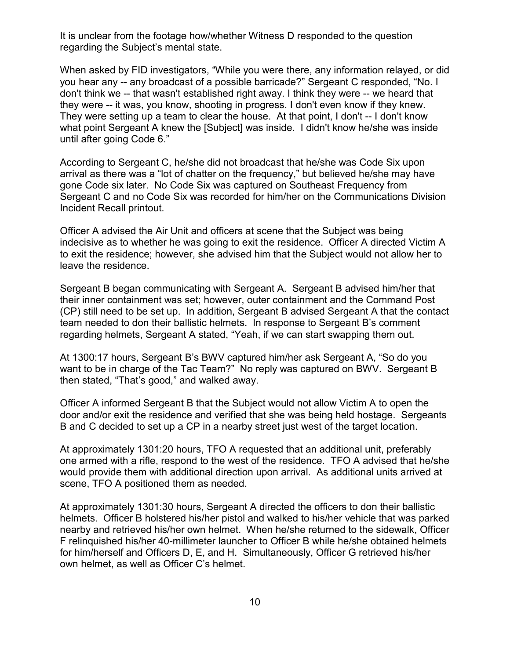It is unclear from the footage how/whether Witness D responded to the question regarding the Subject's mental state.

When asked by FID investigators, "While you were there, any information relayed, or did you hear any -- any broadcast of a possible barricade?" Sergeant C responded, "No. I don't think we -- that wasn't established right away. I think they were -- we heard that they were -- it was, you know, shooting in progress. I don't even know if they knew. They were setting up a team to clear the house. At that point, I don't -- I don't know what point Sergeant A knew the [Subject] was inside. I didn't know he/she was inside until after going Code 6."

According to Sergeant C, he/she did not broadcast that he/she was Code Six upon arrival as there was a "lot of chatter on the frequency," but believed he/she may have gone Code six later. No Code Six was captured on Southeast Frequency from Sergeant C and no Code Six was recorded for him/her on the Communications Division Incident Recall printout.

Officer A advised the Air Unit and officers at scene that the Subject was being indecisive as to whether he was going to exit the residence. Officer A directed Victim A to exit the residence; however, she advised him that the Subject would not allow her to leave the residence.

Sergeant B began communicating with Sergeant A. Sergeant B advised him/her that their inner containment was set; however, outer containment and the Command Post (CP) still need to be set up. In addition, Sergeant B advised Sergeant A that the contact team needed to don their ballistic helmets. In response to Sergeant B's comment regarding helmets, Sergeant A stated, "Yeah, if we can start swapping them out.

At 1300:17 hours, Sergeant B's BWV captured him/her ask Sergeant A, "So do you want to be in charge of the Tac Team?" No reply was captured on BWV. Sergeant B then stated, "That's good," and walked away.

Officer A informed Sergeant B that the Subject would not allow Victim A to open the door and/or exit the residence and verified that she was being held hostage. Sergeants B and C decided to set up a CP in a nearby street just west of the target location.

At approximately 1301:20 hours, TFO A requested that an additional unit, preferably one armed with a rifle, respond to the west of the residence. TFO A advised that he/she would provide them with additional direction upon arrival. As additional units arrived at scene, TFO A positioned them as needed.

At approximately 1301:30 hours, Sergeant A directed the officers to don their ballistic helmets. Officer B holstered his/her pistol and walked to his/her vehicle that was parked nearby and retrieved his/her own helmet. When he/she returned to the sidewalk, Officer F relinquished his/her 40-millimeter launcher to Officer B while he/she obtained helmets for him/herself and Officers D, E, and H. Simultaneously, Officer G retrieved his/her own helmet, as well as Officer C's helmet.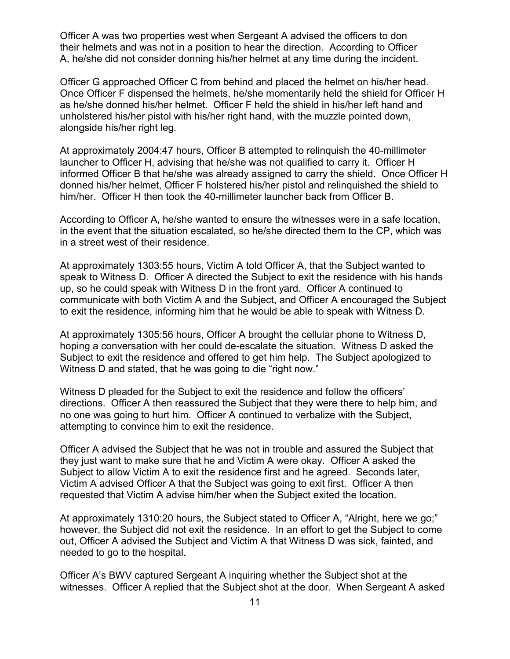Officer A was two properties west when Sergeant A advised the officers to don their helmets and was not in a position to hear the direction. According to Officer A, he/she did not consider donning his/her helmet at any time during the incident.

Officer G approached Officer C from behind and placed the helmet on his/her head. Once Officer F dispensed the helmets, he/she momentarily held the shield for Officer H as he/she donned his/her helmet. Officer F held the shield in his/her left hand and unholstered his/her pistol with his/her right hand, with the muzzle pointed down, alongside his/her right leg.

At approximately 2004:47 hours, Officer B attempted to relinquish the 40-millimeter launcher to Officer H, advising that he/she was not qualified to carry it. Officer H informed Officer B that he/she was already assigned to carry the shield. Once Officer H donned his/her helmet, Officer F holstered his/her pistol and relinquished the shield to him/her. Officer H then took the 40-millimeter launcher back from Officer B.

According to Officer A, he/she wanted to ensure the witnesses were in a safe location, in the event that the situation escalated, so he/she directed them to the CP, which was in a street west of their residence.

At approximately 1303:55 hours, Victim A told Officer A, that the Subject wanted to speak to Witness D. Officer A directed the Subject to exit the residence with his hands up, so he could speak with Witness D in the front yard. Officer A continued to communicate with both Victim A and the Subject, and Officer A encouraged the Subject to exit the residence, informing him that he would be able to speak with Witness D.

At approximately 1305:56 hours, Officer A brought the cellular phone to Witness D, hoping a conversation with her could de-escalate the situation. Witness D asked the Subject to exit the residence and offered to get him help. The Subject apologized to Witness D and stated, that he was going to die "right now."

Witness D pleaded for the Subject to exit the residence and follow the officers' directions. Officer A then reassured the Subject that they were there to help him, and no one was going to hurt him. Officer A continued to verbalize with the Subject, attempting to convince him to exit the residence.

Officer A advised the Subject that he was not in trouble and assured the Subject that they just want to make sure that he and Victim A were okay. Officer A asked the Subject to allow Victim A to exit the residence first and he agreed. Seconds later, Victim A advised Officer A that the Subject was going to exit first. Officer A then requested that Victim A advise him/her when the Subject exited the location.

At approximately 1310:20 hours, the Subject stated to Officer A, "Alright, here we go;" however, the Subject did not exit the residence. In an effort to get the Subject to come out, Officer A advised the Subject and Victim A that Witness D was sick, fainted, and needed to go to the hospital.

Officer A's BWV captured Sergeant A inquiring whether the Subject shot at the witnesses. Officer A replied that the Subject shot at the door. When Sergeant A asked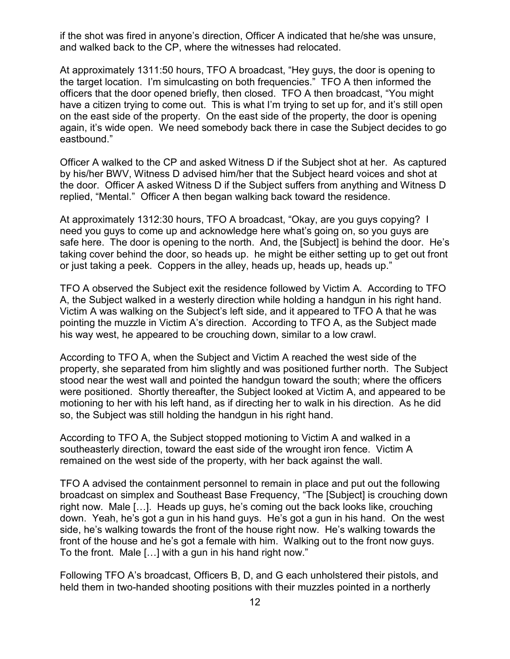if the shot was fired in anyone's direction, Officer A indicated that he/she was unsure, and walked back to the CP, where the witnesses had relocated.

At approximately 1311:50 hours, TFO A broadcast, "Hey guys, the door is opening to the target location. I'm simulcasting on both frequencies." TFO A then informed the officers that the door opened briefly, then closed. TFO A then broadcast, "You might have a citizen trying to come out. This is what I'm trying to set up for, and it's still open on the east side of the property. On the east side of the property, the door is opening again, it's wide open. We need somebody back there in case the Subject decides to go eastbound."

Officer A walked to the CP and asked Witness D if the Subject shot at her. As captured by his/her BWV, Witness D advised him/her that the Subject heard voices and shot at the door. Officer A asked Witness D if the Subject suffers from anything and Witness D replied, "Mental." Officer A then began walking back toward the residence.

At approximately 1312:30 hours, TFO A broadcast, "Okay, are you guys copying? I need you guys to come up and acknowledge here what's going on, so you guys are safe here. The door is opening to the north. And, the [Subject] is behind the door. He's taking cover behind the door, so heads up. he might be either setting up to get out front or just taking a peek. Coppers in the alley, heads up, heads up, heads up."

TFO A observed the Subject exit the residence followed by Victim A. According to TFO A, the Subject walked in a westerly direction while holding a handgun in his right hand. Victim A was walking on the Subject's left side, and it appeared to TFO A that he was pointing the muzzle in Victim A's direction. According to TFO A, as the Subject made his way west, he appeared to be crouching down, similar to a low crawl.

According to TFO A, when the Subject and Victim A reached the west side of the property, she separated from him slightly and was positioned further north. The Subject stood near the west wall and pointed the handgun toward the south; where the officers were positioned. Shortly thereafter, the Subject looked at Victim A, and appeared to be motioning to her with his left hand, as if directing her to walk in his direction. As he did so, the Subject was still holding the handgun in his right hand.

According to TFO A, the Subject stopped motioning to Victim A and walked in a southeasterly direction, toward the east side of the wrought iron fence. Victim A remained on the west side of the property, with her back against the wall.

TFO A advised the containment personnel to remain in place and put out the following broadcast on simplex and Southeast Base Frequency, "The [Subject] is crouching down right now. Male […]. Heads up guys, he's coming out the back looks like, crouching down. Yeah, he's got a gun in his hand guys. He's got a gun in his hand. On the west side, he's walking towards the front of the house right now. He's walking towards the front of the house and he's got a female with him. Walking out to the front now guys. To the front. Male […] with a gun in his hand right now."

Following TFO A's broadcast, Officers B, D, and G each unholstered their pistols, and held them in two-handed shooting positions with their muzzles pointed in a northerly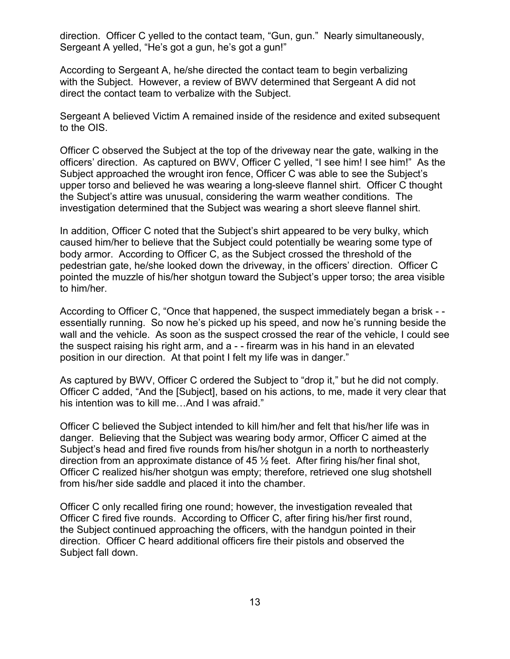direction. Officer C yelled to the contact team, "Gun, gun." Nearly simultaneously, Sergeant A yelled, "He's got a gun, he's got a gun!"

According to Sergeant A, he/she directed the contact team to begin verbalizing with the Subject. However, a review of BWV determined that Sergeant A did not direct the contact team to verbalize with the Subject.

Sergeant A believed Victim A remained inside of the residence and exited subsequent to the OIS.

Officer C observed the Subject at the top of the driveway near the gate, walking in the officers' direction. As captured on BWV, Officer C yelled, "I see him! I see him!" As the Subject approached the wrought iron fence, Officer C was able to see the Subject's upper torso and believed he was wearing a long-sleeve flannel shirt. Officer C thought the Subject's attire was unusual, considering the warm weather conditions. The investigation determined that the Subject was wearing a short sleeve flannel shirt.

In addition, Officer C noted that the Subject's shirt appeared to be very bulky, which caused him/her to believe that the Subject could potentially be wearing some type of body armor. According to Officer C, as the Subject crossed the threshold of the pedestrian gate, he/she looked down the driveway, in the officers' direction. Officer C pointed the muzzle of his/her shotgun toward the Subject's upper torso; the area visible to him/her.

According to Officer C, "Once that happened, the suspect immediately began a brisk - essentially running. So now he's picked up his speed, and now he's running beside the wall and the vehicle. As soon as the suspect crossed the rear of the vehicle, I could see the suspect raising his right arm, and a - - firearm was in his hand in an elevated position in our direction. At that point I felt my life was in danger."

As captured by BWV, Officer C ordered the Subject to "drop it," but he did not comply. Officer C added, "And the [Subject], based on his actions, to me, made it very clear that his intention was to kill me…And I was afraid."

Officer C believed the Subject intended to kill him/her and felt that his/her life was in danger. Believing that the Subject was wearing body armor, Officer C aimed at the Subject's head and fired five rounds from his/her shotgun in a north to northeasterly direction from an approximate distance of 45  $\frac{1}{2}$  feet. After firing his/her final shot, Officer C realized his/her shotgun was empty; therefore, retrieved one slug shotshell from his/her side saddle and placed it into the chamber.

Officer C only recalled firing one round; however, the investigation revealed that Officer C fired five rounds. According to Officer C, after firing his/her first round, the Subject continued approaching the officers, with the handgun pointed in their direction. Officer C heard additional officers fire their pistols and observed the Subject fall down.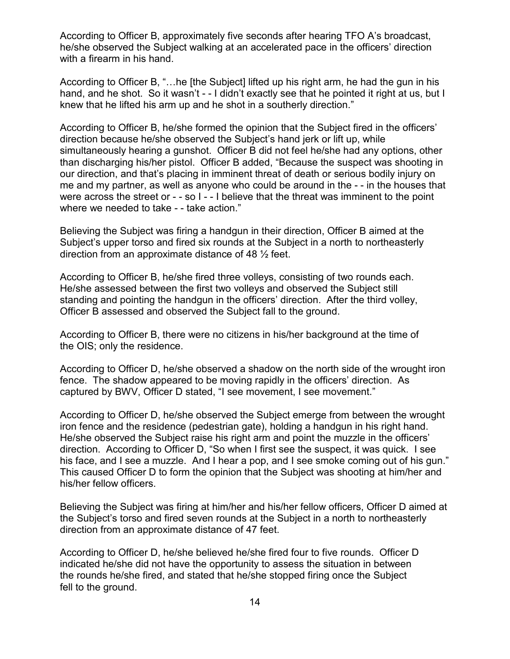According to Officer B, approximately five seconds after hearing TFO A's broadcast, he/she observed the Subject walking at an accelerated pace in the officers' direction with a firearm in his hand.

According to Officer B, "…he [the Subject] lifted up his right arm, he had the gun in his hand, and he shot. So it wasn't - - I didn't exactly see that he pointed it right at us, but I knew that he lifted his arm up and he shot in a southerly direction."

According to Officer B, he/she formed the opinion that the Subject fired in the officers' direction because he/she observed the Subject's hand jerk or lift up, while simultaneously hearing a gunshot. Officer B did not feel he/she had any options, other than discharging his/her pistol. Officer B added, "Because the suspect was shooting in our direction, and that's placing in imminent threat of death or serious bodily injury on me and my partner, as well as anyone who could be around in the - - in the houses that were across the street or - - so I - - I believe that the threat was imminent to the point where we needed to take - - take action."

Believing the Subject was firing a handgun in their direction, Officer B aimed at the Subject's upper torso and fired six rounds at the Subject in a north to northeasterly direction from an approximate distance of 48 ½ feet.

According to Officer B, he/she fired three volleys, consisting of two rounds each. He/she assessed between the first two volleys and observed the Subject still standing and pointing the handgun in the officers' direction. After the third volley, Officer B assessed and observed the Subject fall to the ground.

According to Officer B, there were no citizens in his/her background at the time of the OIS; only the residence.

According to Officer D, he/she observed a shadow on the north side of the wrought iron fence. The shadow appeared to be moving rapidly in the officers' direction. As captured by BWV, Officer D stated, "I see movement, I see movement."

According to Officer D, he/she observed the Subject emerge from between the wrought iron fence and the residence (pedestrian gate), holding a handgun in his right hand. He/she observed the Subject raise his right arm and point the muzzle in the officers' direction. According to Officer D, "So when I first see the suspect, it was quick. I see his face, and I see a muzzle. And I hear a pop, and I see smoke coming out of his gun." This caused Officer D to form the opinion that the Subject was shooting at him/her and his/her fellow officers.

Believing the Subject was firing at him/her and his/her fellow officers, Officer D aimed at the Subject's torso and fired seven rounds at the Subject in a north to northeasterly direction from an approximate distance of 47 feet.

According to Officer D, he/she believed he/she fired four to five rounds. Officer D indicated he/she did not have the opportunity to assess the situation in between the rounds he/she fired, and stated that he/she stopped firing once the Subject fell to the ground.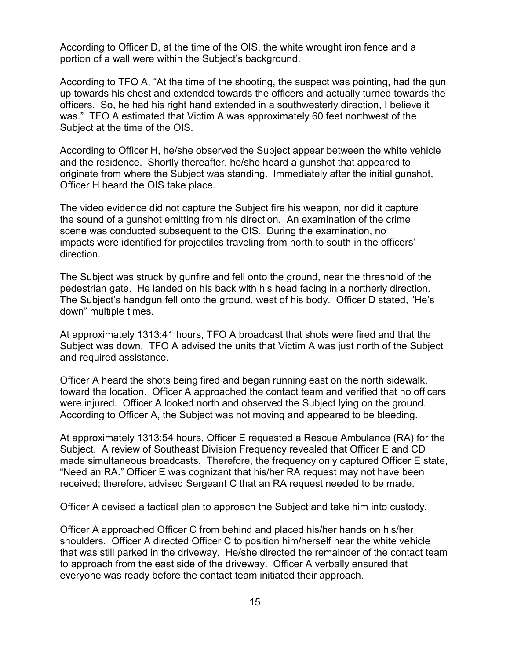According to Officer D, at the time of the OIS, the white wrought iron fence and a portion of a wall were within the Subject's background.

According to TFO A, "At the time of the shooting, the suspect was pointing, had the gun up towards his chest and extended towards the officers and actually turned towards the officers. So, he had his right hand extended in a southwesterly direction, I believe it was." TFO A estimated that Victim A was approximately 60 feet northwest of the Subject at the time of the OIS.

According to Officer H, he/she observed the Subject appear between the white vehicle and the residence. Shortly thereafter, he/she heard a gunshot that appeared to originate from where the Subject was standing. Immediately after the initial gunshot, Officer H heard the OIS take place.

The video evidence did not capture the Subject fire his weapon, nor did it capture the sound of a gunshot emitting from his direction. An examination of the crime scene was conducted subsequent to the OIS. During the examination, no impacts were identified for projectiles traveling from north to south in the officers' direction.

The Subject was struck by gunfire and fell onto the ground, near the threshold of the pedestrian gate. He landed on his back with his head facing in a northerly direction. The Subject's handgun fell onto the ground, west of his body. Officer D stated, "He's down" multiple times.

At approximately 1313:41 hours, TFO A broadcast that shots were fired and that the Subject was down. TFO A advised the units that Victim A was just north of the Subject and required assistance.

Officer A heard the shots being fired and began running east on the north sidewalk, toward the location. Officer A approached the contact team and verified that no officers were injured. Officer A looked north and observed the Subject lying on the ground. According to Officer A, the Subject was not moving and appeared to be bleeding.

At approximately 1313:54 hours, Officer E requested a Rescue Ambulance (RA) for the Subject. A review of Southeast Division Frequency revealed that Officer E and CD made simultaneous broadcasts. Therefore, the frequency only captured Officer E state, "Need an RA." Officer E was cognizant that his/her RA request may not have been received; therefore, advised Sergeant C that an RA request needed to be made.

Officer A devised a tactical plan to approach the Subject and take him into custody.

Officer A approached Officer C from behind and placed his/her hands on his/her shoulders. Officer A directed Officer C to position him/herself near the white vehicle that was still parked in the driveway. He/she directed the remainder of the contact team to approach from the east side of the driveway. Officer A verbally ensured that everyone was ready before the contact team initiated their approach.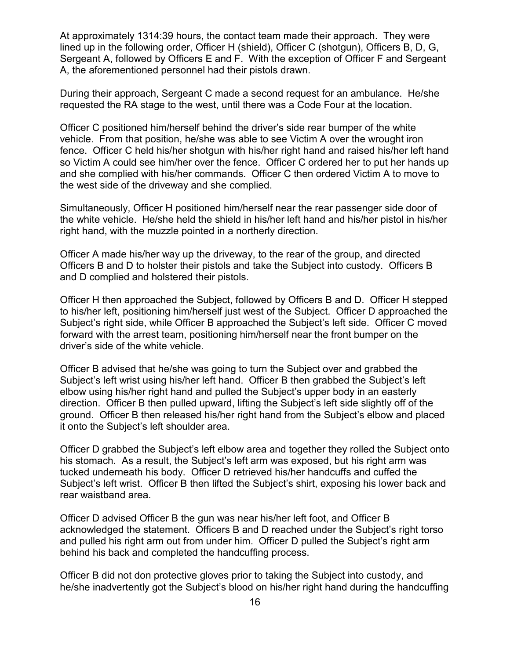At approximately 1314:39 hours, the contact team made their approach. They were lined up in the following order, Officer H (shield), Officer C (shotgun), Officers B, D, G, Sergeant A, followed by Officers E and F. With the exception of Officer F and Sergeant A, the aforementioned personnel had their pistols drawn.

During their approach, Sergeant C made a second request for an ambulance. He/she requested the RA stage to the west, until there was a Code Four at the location.

Officer C positioned him/herself behind the driver's side rear bumper of the white vehicle. From that position, he/she was able to see Victim A over the wrought iron fence. Officer C held his/her shotgun with his/her right hand and raised his/her left hand so Victim A could see him/her over the fence. Officer C ordered her to put her hands up and she complied with his/her commands. Officer C then ordered Victim A to move to the west side of the driveway and she complied.

Simultaneously, Officer H positioned him/herself near the rear passenger side door of the white vehicle. He/she held the shield in his/her left hand and his/her pistol in his/her right hand, with the muzzle pointed in a northerly direction.

Officer A made his/her way up the driveway, to the rear of the group, and directed Officers B and D to holster their pistols and take the Subject into custody. Officers B and D complied and holstered their pistols.

Officer H then approached the Subject, followed by Officers B and D. Officer H stepped to his/her left, positioning him/herself just west of the Subject. Officer D approached the Subject's right side, while Officer B approached the Subject's left side. Officer C moved forward with the arrest team, positioning him/herself near the front bumper on the driver's side of the white vehicle.

Officer B advised that he/she was going to turn the Subject over and grabbed the Subject's left wrist using his/her left hand. Officer B then grabbed the Subject's left elbow using his/her right hand and pulled the Subject's upper body in an easterly direction. Officer B then pulled upward, lifting the Subject's left side slightly off of the ground. Officer B then released his/her right hand from the Subject's elbow and placed it onto the Subject's left shoulder area.

Officer D grabbed the Subject's left elbow area and together they rolled the Subject onto his stomach. As a result, the Subject's left arm was exposed, but his right arm was tucked underneath his body. Officer D retrieved his/her handcuffs and cuffed the Subject's left wrist. Officer B then lifted the Subject's shirt, exposing his lower back and rear waistband area.

Officer D advised Officer B the gun was near his/her left foot, and Officer B acknowledged the statement. Officers B and D reached under the Subject's right torso and pulled his right arm out from under him. Officer D pulled the Subject's right arm behind his back and completed the handcuffing process.

Officer B did not don protective gloves prior to taking the Subject into custody, and he/she inadvertently got the Subject's blood on his/her right hand during the handcuffing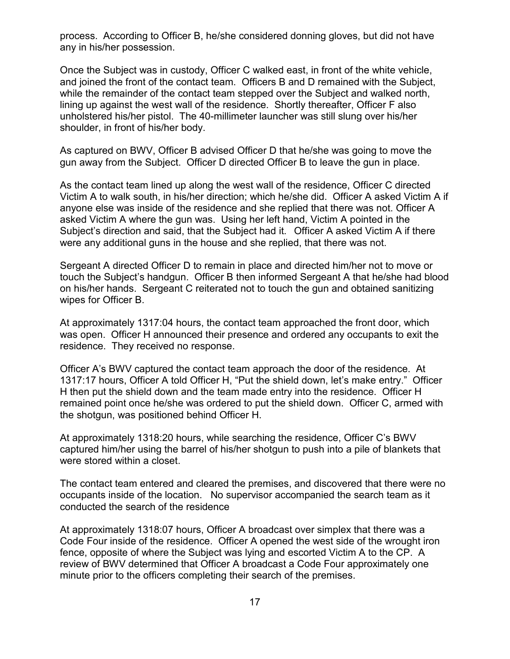process. According to Officer B, he/she considered donning gloves, but did not have any in his/her possession.

Once the Subject was in custody, Officer C walked east, in front of the white vehicle, and joined the front of the contact team. Officers B and D remained with the Subject, while the remainder of the contact team stepped over the Subject and walked north, lining up against the west wall of the residence. Shortly thereafter, Officer F also unholstered his/her pistol. The 40-millimeter launcher was still slung over his/her shoulder, in front of his/her body.

As captured on BWV, Officer B advised Officer D that he/she was going to move the gun away from the Subject. Officer D directed Officer B to leave the gun in place.

As the contact team lined up along the west wall of the residence, Officer C directed Victim A to walk south, in his/her direction; which he/she did. Officer A asked Victim A if anyone else was inside of the residence and she replied that there was not. Officer A asked Victim A where the gun was. Using her left hand, Victim A pointed in the Subject's direction and said, that the Subject had it. Officer A asked Victim A if there were any additional guns in the house and she replied, that there was not.

Sergeant A directed Officer D to remain in place and directed him/her not to move or touch the Subject's handgun. Officer B then informed Sergeant A that he/she had blood on his/her hands. Sergeant C reiterated not to touch the gun and obtained sanitizing wipes for Officer B.

At approximately 1317:04 hours, the contact team approached the front door, which was open. Officer H announced their presence and ordered any occupants to exit the residence. They received no response.

Officer A's BWV captured the contact team approach the door of the residence. At 1317:17 hours, Officer A told Officer H, "Put the shield down, let's make entry." Officer H then put the shield down and the team made entry into the residence. Officer H remained point once he/she was ordered to put the shield down. Officer C, armed with the shotgun, was positioned behind Officer H.

At approximately 1318:20 hours, while searching the residence, Officer C's BWV captured him/her using the barrel of his/her shotgun to push into a pile of blankets that were stored within a closet.

The contact team entered and cleared the premises, and discovered that there were no occupants inside of the location. No supervisor accompanied the search team as it conducted the search of the residence

At approximately 1318:07 hours, Officer A broadcast over simplex that there was a Code Four inside of the residence. Officer A opened the west side of the wrought iron fence, opposite of where the Subject was lying and escorted Victim A to the CP. A review of BWV determined that Officer A broadcast a Code Four approximately one minute prior to the officers completing their search of the premises.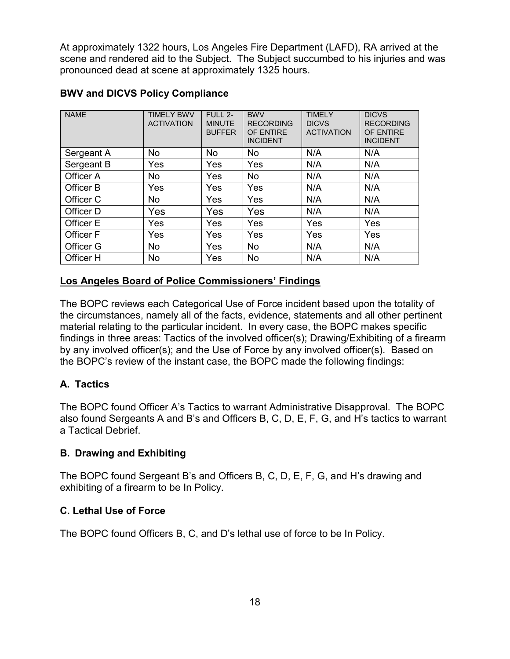At approximately 1322 hours, Los Angeles Fire Department (LAFD), RA arrived at the scene and rendered aid to the Subject. The Subject succumbed to his injuries and was pronounced dead at scene at approximately 1325 hours.

| <b>NAME</b>      | <b>TIMELY BWV</b><br><b>ACTIVATION</b> | FULL 2-<br><b>MINUTE</b><br><b>BUFFER</b> | <b>BWV</b><br><b>RECORDING</b><br>OF ENTIRE<br><b>INCIDENT</b> | <b>TIMELY</b><br><b>DICVS</b><br><b>ACTIVATION</b> | <b>DICVS</b><br><b>RECORDING</b><br>OF ENTIRE<br><b>INCIDENT</b> |
|------------------|----------------------------------------|-------------------------------------------|----------------------------------------------------------------|----------------------------------------------------|------------------------------------------------------------------|
| Sergeant A       | <b>No</b>                              | <b>No</b>                                 | <b>No</b>                                                      | N/A                                                | N/A                                                              |
| Sergeant B       | Yes                                    | <b>Yes</b>                                | Yes                                                            | N/A                                                | N/A                                                              |
| Officer A        | <b>No</b>                              | Yes                                       | No                                                             | N/A                                                | N/A                                                              |
| Officer B        | <b>Yes</b>                             | <b>Yes</b>                                | Yes                                                            | N/A                                                | N/A                                                              |
| Officer C        | <b>No</b>                              | Yes                                       | Yes                                                            | N/A                                                | N/A                                                              |
| Officer D        | Yes                                    | Yes                                       | Yes                                                            | N/A                                                | N/A                                                              |
| Officer E        | <b>Yes</b>                             | <b>Yes</b>                                | Yes                                                            | Yes                                                | Yes                                                              |
| <b>Officer F</b> | Yes                                    | Yes                                       | Yes                                                            | Yes                                                | Yes                                                              |
| Officer G        | <b>No</b>                              | Yes                                       | <b>No</b>                                                      | N/A                                                | N/A                                                              |
| Officer H        | No                                     | Yes                                       | No                                                             | N/A                                                | N/A                                                              |

### **BWV and DICVS Policy Compliance**

#### **Los Angeles Board of Police Commissioners' Findings**

The BOPC reviews each Categorical Use of Force incident based upon the totality of the circumstances, namely all of the facts, evidence, statements and all other pertinent material relating to the particular incident. In every case, the BOPC makes specific findings in three areas: Tactics of the involved officer(s); Drawing/Exhibiting of a firearm by any involved officer(s); and the Use of Force by any involved officer(s). Based on the BOPC's review of the instant case, the BOPC made the following findings:

### **A. Tactics**

The BOPC found Officer A's Tactics to warrant Administrative Disapproval. The BOPC also found Sergeants A and B's and Officers B, C, D, E, F, G, and H's tactics to warrant a Tactical Debrief.

#### **B. Drawing and Exhibiting**

The BOPC found Sergeant B's and Officers B, C, D, E, F, G, and H's drawing and exhibiting of a firearm to be In Policy.

### **C. Lethal Use of Force**

The BOPC found Officers B, C, and D's lethal use of force to be In Policy.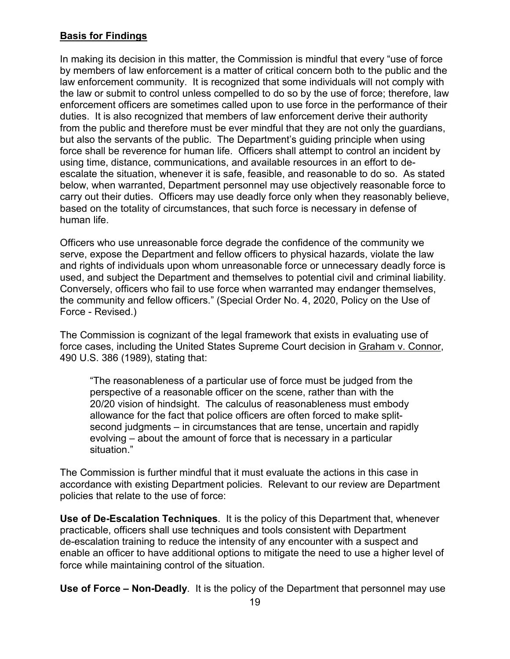# **Basis for Findings**

In making its decision in this matter, the Commission is mindful that every "use of force by members of law enforcement is a matter of critical concern both to the public and the law enforcement community. It is recognized that some individuals will not comply with the law or submit to control unless compelled to do so by the use of force; therefore, law enforcement officers are sometimes called upon to use force in the performance of their duties. It is also recognized that members of law enforcement derive their authority from the public and therefore must be ever mindful that they are not only the guardians, but also the servants of the public. The Department's guiding principle when using force shall be reverence for human life. Officers shall attempt to control an incident by using time, distance, communications, and available resources in an effort to deescalate the situation, whenever it is safe, feasible, and reasonable to do so. As stated below, when warranted, Department personnel may use objectively reasonable force to carry out their duties. Officers may use deadly force only when they reasonably believe, based on the totality of circumstances, that such force is necessary in defense of human life.

Officers who use unreasonable force degrade the confidence of the community we serve, expose the Department and fellow officers to physical hazards, violate the law and rights of individuals upon whom unreasonable force or unnecessary deadly force is used, and subject the Department and themselves to potential civil and criminal liability. Conversely, officers who fail to use force when warranted may endanger themselves, the community and fellow officers." (Special Order No. 4, 2020, Policy on the Use of Force - Revised.)

The Commission is cognizant of the legal framework that exists in evaluating use of force cases, including the United States Supreme Court decision in Graham v. Connor, 490 U.S. 386 (1989), stating that:

"The reasonableness of a particular use of force must be judged from the perspective of a reasonable officer on the scene, rather than with the 20/20 vision of hindsight. The calculus of reasonableness must embody allowance for the fact that police officers are often forced to make splitsecond judgments – in circumstances that are tense, uncertain and rapidly evolving – about the amount of force that is necessary in a particular situation."

The Commission is further mindful that it must evaluate the actions in this case in accordance with existing Department policies. Relevant to our review are Department policies that relate to the use of force:

**Use of De-Escalation Techniques**. It is the policy of this Department that, whenever practicable, officers shall use techniques and tools consistent with Department de-escalation training to reduce the intensity of any encounter with a suspect and enable an officer to have additional options to mitigate the need to use a higher level of force while maintaining control of the situation.

**Use of Force – Non-Deadly**. It is the policy of the Department that personnel may use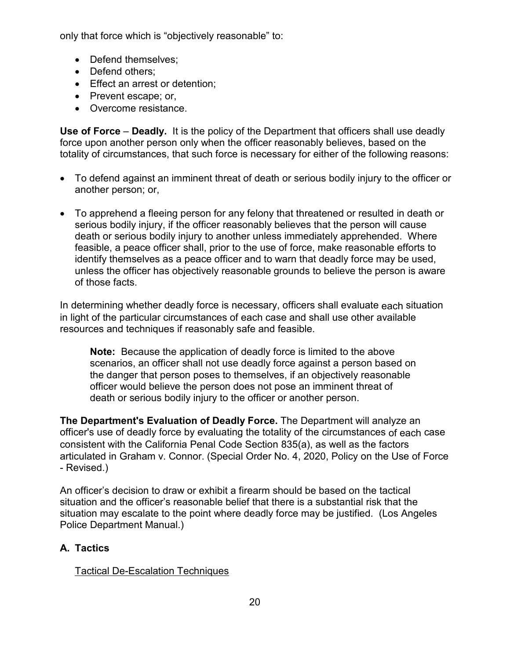only that force which is "objectively reasonable" to:

- Defend themselves;
- Defend others:
- Effect an arrest or detention;
- Prevent escape; or,
- Overcome resistance.

**Use of Force** – **Deadly.** It is the policy of the Department that officers shall use deadly force upon another person only when the officer reasonably believes, based on the totality of circumstances, that such force is necessary for either of the following reasons:

- To defend against an imminent threat of death or serious bodily injury to the officer or another person; or,
- To apprehend a fleeing person for any felony that threatened or resulted in death or serious bodily injury, if the officer reasonably believes that the person will cause death or serious bodily injury to another unless immediately apprehended. Where feasible, a peace officer shall, prior to the use of force, make reasonable efforts to identify themselves as a peace officer and to warn that deadly force may be used, unless the officer has objectively reasonable grounds to believe the person is aware of those facts.

In determining whether deadly force is necessary, officers shall evaluate each situation in light of the particular circumstances of each case and shall use other available resources and techniques if reasonably safe and feasible.

**Note:** Because the application of deadly force is limited to the above scenarios, an officer shall not use deadly force against a person based on the danger that person poses to themselves, if an objectively reasonable officer would believe the person does not pose an imminent threat of death or serious bodily injury to the officer or another person.

**The Department's Evaluation of Deadly Force.** The Department will analyze an officer's use of deadly force by evaluating the totality of the circumstances of each case consistent with the California Penal Code Section 835(a), as well as the factors articulated in Graham v. Connor. (Special Order No. 4, 2020, Policy on the Use of Force - Revised.)

An officer's decision to draw or exhibit a firearm should be based on the tactical situation and the officer's reasonable belief that there is a substantial risk that the situation may escalate to the point where deadly force may be justified. (Los Angeles Police Department Manual.)

# **A. Tactics**

### Tactical De-Escalation Techniques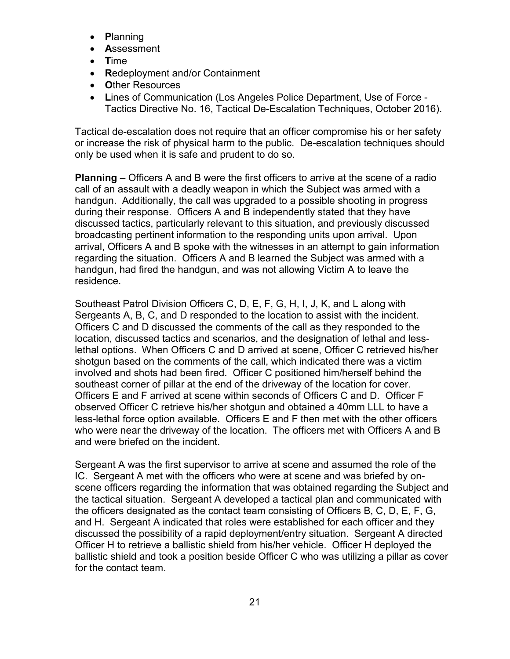- **P**lanning
- **A**ssessment
- **T**ime
- **R**edeployment and/or Containment
- **O**ther Resources
- **L**ines of Communication (Los Angeles Police Department, Use of Force Tactics Directive No. 16, Tactical De-Escalation Techniques, October 2016).

Tactical de-escalation does not require that an officer compromise his or her safety or increase the risk of physical harm to the public. De-escalation techniques should only be used when it is safe and prudent to do so.

**Planning** – Officers A and B were the first officers to arrive at the scene of a radio call of an assault with a deadly weapon in which the Subject was armed with a handgun. Additionally, the call was upgraded to a possible shooting in progress during their response. Officers A and B independently stated that they have discussed tactics, particularly relevant to this situation, and previously discussed broadcasting pertinent information to the responding units upon arrival. Upon arrival, Officers A and B spoke with the witnesses in an attempt to gain information regarding the situation. Officers A and B learned the Subject was armed with a handgun, had fired the handgun, and was not allowing Victim A to leave the residence.

Southeast Patrol Division Officers C, D, E, F, G, H, I, J, K, and L along with Sergeants A, B, C, and D responded to the location to assist with the incident. Officers C and D discussed the comments of the call as they responded to the location, discussed tactics and scenarios, and the designation of lethal and lesslethal options. When Officers C and D arrived at scene, Officer C retrieved his/her shotgun based on the comments of the call, which indicated there was a victim involved and shots had been fired. Officer C positioned him/herself behind the southeast corner of pillar at the end of the driveway of the location for cover. Officers E and F arrived at scene within seconds of Officers C and D. Officer F observed Officer C retrieve his/her shotgun and obtained a 40mm LLL to have a less-lethal force option available. Officers E and F then met with the other officers who were near the driveway of the location. The officers met with Officers A and B and were briefed on the incident.

Sergeant A was the first supervisor to arrive at scene and assumed the role of the IC. Sergeant A met with the officers who were at scene and was briefed by onscene officers regarding the information that was obtained regarding the Subject and the tactical situation. Sergeant A developed a tactical plan and communicated with the officers designated as the contact team consisting of Officers B, C, D, E, F, G, and H. Sergeant A indicated that roles were established for each officer and they discussed the possibility of a rapid deployment/entry situation. Sergeant A directed Officer H to retrieve a ballistic shield from his/her vehicle. Officer H deployed the ballistic shield and took a position beside Officer C who was utilizing a pillar as cover for the contact team.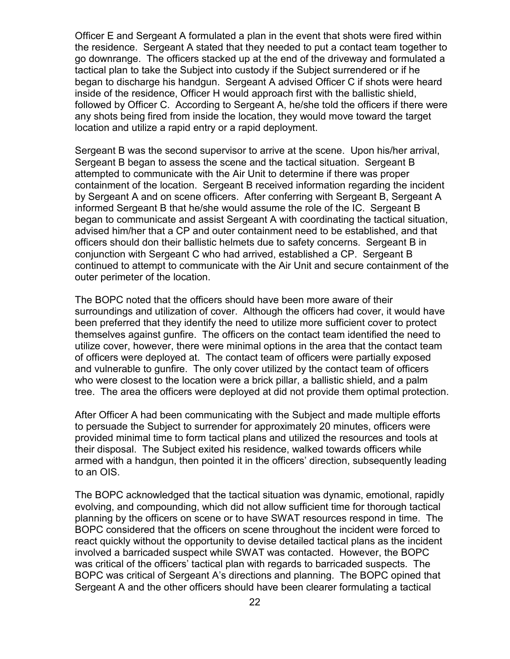Officer E and Sergeant A formulated a plan in the event that shots were fired within the residence. Sergeant A stated that they needed to put a contact team together to go downrange. The officers stacked up at the end of the driveway and formulated a tactical plan to take the Subject into custody if the Subject surrendered or if he began to discharge his handgun. Sergeant A advised Officer C if shots were heard inside of the residence, Officer H would approach first with the ballistic shield, followed by Officer C. According to Sergeant A, he/she told the officers if there were any shots being fired from inside the location, they would move toward the target location and utilize a rapid entry or a rapid deployment.

Sergeant B was the second supervisor to arrive at the scene. Upon his/her arrival, Sergeant B began to assess the scene and the tactical situation. Sergeant B attempted to communicate with the Air Unit to determine if there was proper containment of the location. Sergeant B received information regarding the incident by Sergeant A and on scene officers. After conferring with Sergeant B, Sergeant A informed Sergeant B that he/she would assume the role of the IC. Sergeant B began to communicate and assist Sergeant A with coordinating the tactical situation, advised him/her that a CP and outer containment need to be established, and that officers should don their ballistic helmets due to safety concerns. Sergeant B in conjunction with Sergeant C who had arrived, established a CP. Sergeant B continued to attempt to communicate with the Air Unit and secure containment of the outer perimeter of the location.

The BOPC noted that the officers should have been more aware of their surroundings and utilization of cover. Although the officers had cover, it would have been preferred that they identify the need to utilize more sufficient cover to protect themselves against gunfire. The officers on the contact team identified the need to utilize cover, however, there were minimal options in the area that the contact team of officers were deployed at. The contact team of officers were partially exposed and vulnerable to gunfire. The only cover utilized by the contact team of officers who were closest to the location were a brick pillar, a ballistic shield, and a palm tree. The area the officers were deployed at did not provide them optimal protection.

After Officer A had been communicating with the Subject and made multiple efforts to persuade the Subject to surrender for approximately 20 minutes, officers were provided minimal time to form tactical plans and utilized the resources and tools at their disposal. The Subject exited his residence, walked towards officers while armed with a handgun, then pointed it in the officers' direction, subsequently leading to an OIS.

The BOPC acknowledged that the tactical situation was dynamic, emotional, rapidly evolving, and compounding, which did not allow sufficient time for thorough tactical planning by the officers on scene or to have SWAT resources respond in time. The BOPC considered that the officers on scene throughout the incident were forced to react quickly without the opportunity to devise detailed tactical plans as the incident involved a barricaded suspect while SWAT was contacted. However, the BOPC was critical of the officers' tactical plan with regards to barricaded suspects. The BOPC was critical of Sergeant A's directions and planning. The BOPC opined that Sergeant A and the other officers should have been clearer formulating a tactical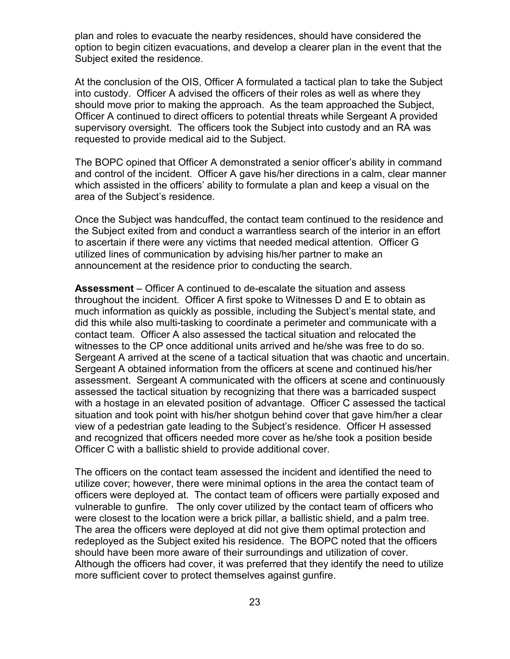plan and roles to evacuate the nearby residences, should have considered the option to begin citizen evacuations, and develop a clearer plan in the event that the Subject exited the residence.

At the conclusion of the OIS, Officer A formulated a tactical plan to take the Subject into custody. Officer A advised the officers of their roles as well as where they should move prior to making the approach. As the team approached the Subject, Officer A continued to direct officers to potential threats while Sergeant A provided supervisory oversight. The officers took the Subject into custody and an RA was requested to provide medical aid to the Subject.

The BOPC opined that Officer A demonstrated a senior officer's ability in command and control of the incident. Officer A gave his/her directions in a calm, clear manner which assisted in the officers' ability to formulate a plan and keep a visual on the area of the Subject's residence.

Once the Subject was handcuffed, the contact team continued to the residence and the Subject exited from and conduct a warrantless search of the interior in an effort to ascertain if there were any victims that needed medical attention. Officer G utilized lines of communication by advising his/her partner to make an announcement at the residence prior to conducting the search.

**Assessment** – Officer A continued to de-escalate the situation and assess throughout the incident. Officer A first spoke to Witnesses D and E to obtain as much information as quickly as possible, including the Subject's mental state, and did this while also multi-tasking to coordinate a perimeter and communicate with a contact team. Officer A also assessed the tactical situation and relocated the witnesses to the CP once additional units arrived and he/she was free to do so. Sergeant A arrived at the scene of a tactical situation that was chaotic and uncertain. Sergeant A obtained information from the officers at scene and continued his/her assessment. Sergeant A communicated with the officers at scene and continuously assessed the tactical situation by recognizing that there was a barricaded suspect with a hostage in an elevated position of advantage. Officer C assessed the tactical situation and took point with his/her shotgun behind cover that gave him/her a clear view of a pedestrian gate leading to the Subject's residence. Officer H assessed and recognized that officers needed more cover as he/she took a position beside Officer C with a ballistic shield to provide additional cover.

The officers on the contact team assessed the incident and identified the need to utilize cover; however, there were minimal options in the area the contact team of officers were deployed at. The contact team of officers were partially exposed and vulnerable to gunfire. The only cover utilized by the contact team of officers who were closest to the location were a brick pillar, a ballistic shield, and a palm tree. The area the officers were deployed at did not give them optimal protection and redeployed as the Subject exited his residence. The BOPC noted that the officers should have been more aware of their surroundings and utilization of cover. Although the officers had cover, it was preferred that they identify the need to utilize more sufficient cover to protect themselves against gunfire.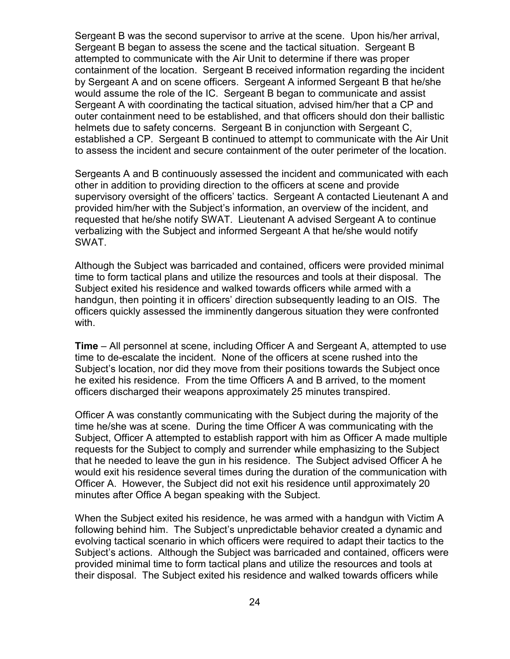Sergeant B was the second supervisor to arrive at the scene. Upon his/her arrival, Sergeant B began to assess the scene and the tactical situation. Sergeant B attempted to communicate with the Air Unit to determine if there was proper containment of the location. Sergeant B received information regarding the incident by Sergeant A and on scene officers. Sergeant A informed Sergeant B that he/she would assume the role of the IC. Sergeant B began to communicate and assist Sergeant A with coordinating the tactical situation, advised him/her that a CP and outer containment need to be established, and that officers should don their ballistic helmets due to safety concerns. Sergeant B in conjunction with Sergeant C, established a CP. Sergeant B continued to attempt to communicate with the Air Unit to assess the incident and secure containment of the outer perimeter of the location.

Sergeants A and B continuously assessed the incident and communicated with each other in addition to providing direction to the officers at scene and provide supervisory oversight of the officers' tactics. Sergeant A contacted Lieutenant A and provided him/her with the Subject's information, an overview of the incident, and requested that he/she notify SWAT. Lieutenant A advised Sergeant A to continue verbalizing with the Subject and informed Sergeant A that he/she would notify SWAT.

Although the Subject was barricaded and contained, officers were provided minimal time to form tactical plans and utilize the resources and tools at their disposal. The Subject exited his residence and walked towards officers while armed with a handgun, then pointing it in officers' direction subsequently leading to an OIS. The officers quickly assessed the imminently dangerous situation they were confronted with.

**Time** – All personnel at scene, including Officer A and Sergeant A, attempted to use time to de-escalate the incident.None of the officers at scene rushed into the Subject's location, nor did they move from their positions towards the Subject once he exited his residence. From the time Officers A and B arrived, to the moment officers discharged their weapons approximately 25 minutes transpired.

Officer A was constantly communicating with the Subject during the majority of the time he/she was at scene. During the time Officer A was communicating with the Subject, Officer A attempted to establish rapport with him as Officer A made multiple requests for the Subject to comply and surrender while emphasizing to the Subject that he needed to leave the gun in his residence. The Subject advised Officer A he would exit his residence several times during the duration of the communication with Officer A. However, the Subject did not exit his residence until approximately 20 minutes after Office A began speaking with the Subject.

When the Subject exited his residence, he was armed with a handgun with Victim A following behind him. The Subject's unpredictable behavior created a dynamic and evolving tactical scenario in which officers were required to adapt their tactics to the Subject's actions. Although the Subject was barricaded and contained, officers were provided minimal time to form tactical plans and utilize the resources and tools at their disposal. The Subject exited his residence and walked towards officers while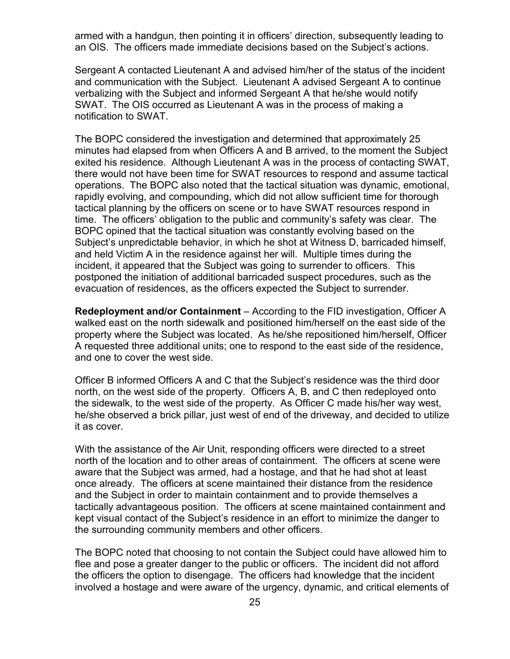armed with a handgun, then pointing it in officers' direction, subsequently leading to an OIS. The officers made immediate decisions based on the Subject's actions.

Sergeant A contacted Lieutenant A and advised him/her of the status of the incident and communication with the Subject. Lieutenant A advised Sergeant A to continue verbalizing with the Subject and informed Sergeant A that he/she would notify SWAT. The OIS occurred as Lieutenant A was in the process of making a notification to SWAT.

The BOPC considered the investigation and determined that approximately 25 minutes had elapsed from when Officers A and B arrived, to the moment the Subject exited his residence. Although Lieutenant A was in the process of contacting SWAT, there would not have been time for SWAT resources to respond and assume tactical operations. The BOPC also noted that the tactical situation was dynamic, emotional, rapidly evolving, and compounding, which did not allow sufficient time for thorough tactical planning by the officers on scene or to have SWAT resources respond in time. The officers' obligation to the public and community's safety was clear. The BOPC opined that the tactical situation was constantly evolving based on the Subject's unpredictable behavior, in which he shot at Witness D, barricaded himself, and held Victim A in the residence against her will. Multiple times during the incident, it appeared that the Subject was going to surrender to officers. This postponed the initiation of additional barricaded suspect procedures, such as the evacuation of residences, as the officers expected the Subject to surrender.

**Redeployment and/or Containment** – According to the FID investigation, Officer A walked east on the north sidewalk and positioned him/herself on the east side of the property where the Subject was located. As he/she repositioned him/herself, Officer A requested three additional units; one to respond to the east side of the residence, and one to cover the west side.

Officer B informed Officers A and C that the Subject's residence was the third door north, on the west side of the property. Officers A, B, and C then redeployed onto the sidewalk, to the west side of the property. As Officer C made his/her way west, he/she observed a brick pillar, just west of end of the driveway, and decided to utilize it as cover.

With the assistance of the Air Unit, responding officers were directed to a street north of the location and to other areas of containment. The officers at scene were aware that the Subject was armed, had a hostage, and that he had shot at least once already. The officers at scene maintained their distance from the residence and the Subject in order to maintain containment and to provide themselves a tactically advantageous position. The officers at scene maintained containment and kept visual contact of the Subject's residence in an effort to minimize the danger to the surrounding community members and other officers.

The BOPC noted that choosing to not contain the Subject could have allowed him to flee and pose a greater danger to the public or officers. The incident did not afford the officers the option to disengage. The officers had knowledge that the incident involved a hostage and were aware of the urgency, dynamic, and critical elements of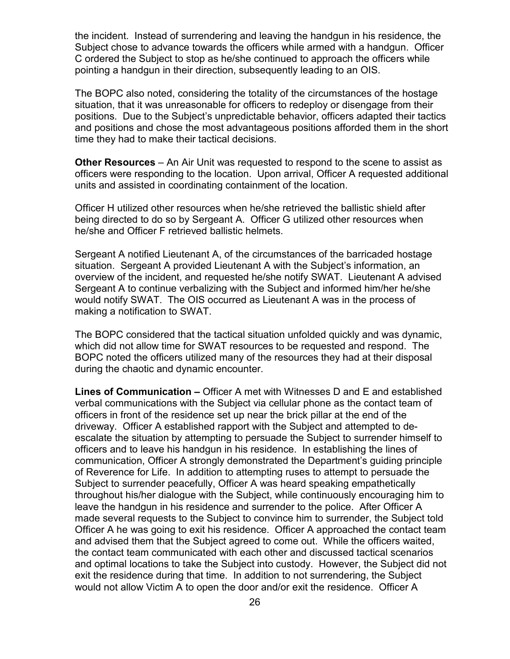the incident. Instead of surrendering and leaving the handgun in his residence, the Subject chose to advance towards the officers while armed with a handgun. Officer C ordered the Subject to stop as he/she continued to approach the officers while pointing a handgun in their direction, subsequently leading to an OIS.

The BOPC also noted, considering the totality of the circumstances of the hostage situation, that it was unreasonable for officers to redeploy or disengage from their positions. Due to the Subject's unpredictable behavior, officers adapted their tactics and positions and chose the most advantageous positions afforded them in the short time they had to make their tactical decisions.

**Other Resources** – An Air Unit was requested to respond to the scene to assist as officers were responding to the location. Upon arrival, Officer A requested additional units and assisted in coordinating containment of the location.

Officer H utilized other resources when he/she retrieved the ballistic shield after being directed to do so by Sergeant A. Officer G utilized other resources when he/she and Officer F retrieved ballistic helmets.

Sergeant A notified Lieutenant A, of the circumstances of the barricaded hostage situation. Sergeant A provided Lieutenant A with the Subject's information, an overview of the incident, and requested he/she notify SWAT. Lieutenant A advised Sergeant A to continue verbalizing with the Subject and informed him/her he/she would notify SWAT. The OIS occurred as Lieutenant A was in the process of making a notification to SWAT.

The BOPC considered that the tactical situation unfolded quickly and was dynamic, which did not allow time for SWAT resources to be requested and respond. The BOPC noted the officers utilized many of the resources they had at their disposal during the chaotic and dynamic encounter.

**Lines of Communication –** Officer A met with Witnesses D and E and established verbal communications with the Subject via cellular phone as the contact team of officers in front of the residence set up near the brick pillar at the end of the driveway. Officer A established rapport with the Subject and attempted to deescalate the situation by attempting to persuade the Subject to surrender himself to officers and to leave his handgun in his residence. In establishing the lines of communication, Officer A strongly demonstrated the Department's guiding principle of Reverence for Life. In addition to attempting ruses to attempt to persuade the Subject to surrender peacefully, Officer A was heard speaking empathetically throughout his/her dialogue with the Subject, while continuously encouraging him to leave the handgun in his residence and surrender to the police. After Officer A made several requests to the Subject to convince him to surrender, the Subject told Officer A he was going to exit his residence. Officer A approached the contact team and advised them that the Subject agreed to come out. While the officers waited, the contact team communicated with each other and discussed tactical scenarios and optimal locations to take the Subject into custody. However, the Subject did not exit the residence during that time. In addition to not surrendering, the Subject would not allow Victim A to open the door and/or exit the residence. Officer A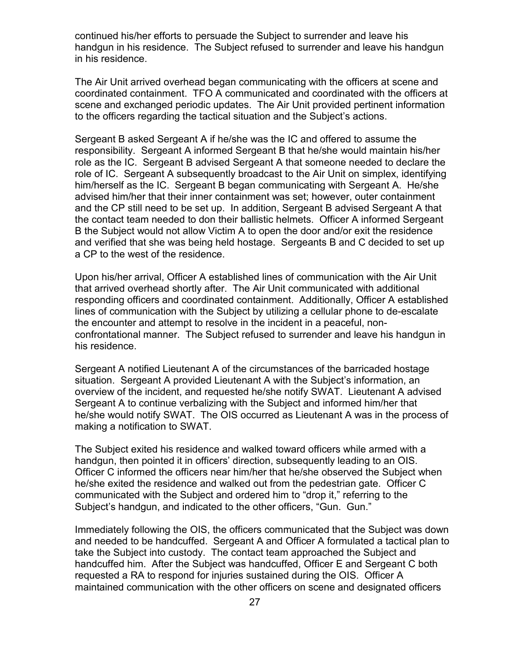continued his/her efforts to persuade the Subject to surrender and leave his handgun in his residence. The Subject refused to surrender and leave his handgun in his residence.

The Air Unit arrived overhead began communicating with the officers at scene and coordinated containment. TFO A communicated and coordinated with the officers at scene and exchanged periodic updates. The Air Unit provided pertinent information to the officers regarding the tactical situation and the Subject's actions.

Sergeant B asked Sergeant A if he/she was the IC and offered to assume the responsibility. Sergeant A informed Sergeant B that he/she would maintain his/her role as the IC. Sergeant B advised Sergeant A that someone needed to declare the role of IC. Sergeant A subsequently broadcast to the Air Unit on simplex, identifying him/herself as the IC. Sergeant B began communicating with Sergeant A. He/she advised him/her that their inner containment was set; however, outer containment and the CP still need to be set up. In addition, Sergeant B advised Sergeant A that the contact team needed to don their ballistic helmets. Officer A informed Sergeant B the Subject would not allow Victim A to open the door and/or exit the residence and verified that she was being held hostage. Sergeants B and C decided to set up a CP to the west of the residence.

Upon his/her arrival, Officer A established lines of communication with the Air Unit that arrived overhead shortly after. The Air Unit communicated with additional responding officers and coordinated containment. Additionally, Officer A established lines of communication with the Subject by utilizing a cellular phone to de-escalate the encounter and attempt to resolve in the incident in a peaceful, nonconfrontational manner. The Subject refused to surrender and leave his handgun in his residence.

Sergeant A notified Lieutenant A of the circumstances of the barricaded hostage situation. Sergeant A provided Lieutenant A with the Subject's information, an overview of the incident, and requested he/she notify SWAT. Lieutenant A advised Sergeant A to continue verbalizing with the Subject and informed him/her that he/she would notify SWAT. The OIS occurred as Lieutenant A was in the process of making a notification to SWAT.

The Subject exited his residence and walked toward officers while armed with a handgun, then pointed it in officers' direction, subsequently leading to an OIS. Officer C informed the officers near him/her that he/she observed the Subject when he/she exited the residence and walked out from the pedestrian gate. Officer C communicated with the Subject and ordered him to "drop it," referring to the Subject's handgun, and indicated to the other officers, "Gun. Gun."

Immediately following the OIS, the officers communicated that the Subject was down and needed to be handcuffed. Sergeant A and Officer A formulated a tactical plan to take the Subject into custody. The contact team approached the Subject and handcuffed him. After the Subject was handcuffed, Officer E and Sergeant C both requested a RA to respond for injuries sustained during the OIS. Officer A maintained communication with the other officers on scene and designated officers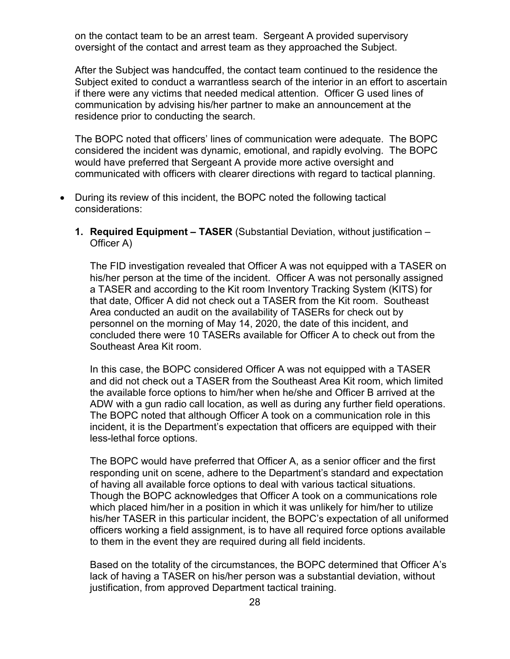on the contact team to be an arrest team. Sergeant A provided supervisory oversight of the contact and arrest team as they approached the Subject.

After the Subject was handcuffed, the contact team continued to the residence the Subject exited to conduct a warrantless search of the interior in an effort to ascertain if there were any victims that needed medical attention. Officer G used lines of communication by advising his/her partner to make an announcement at the residence prior to conducting the search.

The BOPC noted that officers' lines of communication were adequate. The BOPC considered the incident was dynamic, emotional, and rapidly evolving. The BOPC would have preferred that Sergeant A provide more active oversight and communicated with officers with clearer directions with regard to tactical planning.

- During its review of this incident, the BOPC noted the following tactical considerations:
	- **1. Required Equipment – TASER** (Substantial Deviation, without justification Officer A)

The FID investigation revealed that Officer A was not equipped with a TASER on his/her person at the time of the incident. Officer A was not personally assigned a TASER and according to the Kit room Inventory Tracking System (KITS) for that date, Officer A did not check out a TASER from the Kit room. Southeast Area conducted an audit on the availability of TASERs for check out by personnel on the morning of May 14, 2020, the date of this incident, and concluded there were 10 TASERs available for Officer A to check out from the Southeast Area Kit room.

In this case, the BOPC considered Officer A was not equipped with a TASER and did not check out a TASER from the Southeast Area Kit room, which limited the available force options to him/her when he/she and Officer B arrived at the ADW with a gun radio call location, as well as during any further field operations. The BOPC noted that although Officer A took on a communication role in this incident, it is the Department's expectation that officers are equipped with their less-lethal force options.

The BOPC would have preferred that Officer A, as a senior officer and the first responding unit on scene, adhere to the Department's standard and expectation of having all available force options to deal with various tactical situations. Though the BOPC acknowledges that Officer A took on a communications role which placed him/her in a position in which it was unlikely for him/her to utilize his/her TASER in this particular incident, the BOPC's expectation of all uniformed officers working a field assignment, is to have all required force options available to them in the event they are required during all field incidents.

Based on the totality of the circumstances, the BOPC determined that Officer A's lack of having a TASER on his/her person was a substantial deviation, without justification, from approved Department tactical training.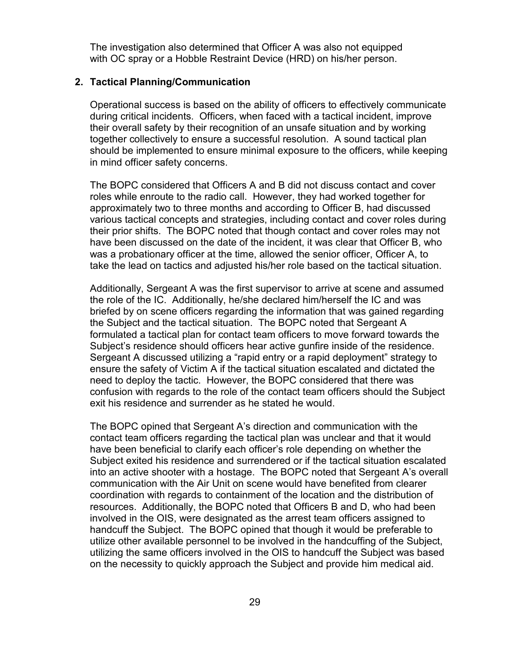The investigation also determined that Officer A was also not equipped with OC spray or a Hobble Restraint Device (HRD) on his/her person.

#### **2. Tactical Planning/Communication**

Operational success is based on the ability of officers to effectively communicate during critical incidents. Officers, when faced with a tactical incident, improve their overall safety by their recognition of an unsafe situation and by working together collectively to ensure a successful resolution. A sound tactical plan should be implemented to ensure minimal exposure to the officers, while keeping in mind officer safety concerns.

The BOPC considered that Officers A and B did not discuss contact and cover roles while enroute to the radio call. However, they had worked together for approximately two to three months and according to Officer B, had discussed various tactical concepts and strategies, including contact and cover roles during their prior shifts. The BOPC noted that though contact and cover roles may not have been discussed on the date of the incident, it was clear that Officer B, who was a probationary officer at the time, allowed the senior officer, Officer A, to take the lead on tactics and adjusted his/her role based on the tactical situation.

Additionally, Sergeant A was the first supervisor to arrive at scene and assumed the role of the IC. Additionally, he/she declared him/herself the IC and was briefed by on scene officers regarding the information that was gained regarding the Subject and the tactical situation. The BOPC noted that Sergeant A formulated a tactical plan for contact team officers to move forward towards the Subject's residence should officers hear active gunfire inside of the residence. Sergeant A discussed utilizing a "rapid entry or a rapid deployment" strategy to ensure the safety of Victim A if the tactical situation escalated and dictated the need to deploy the tactic. However, the BOPC considered that there was confusion with regards to the role of the contact team officers should the Subject exit his residence and surrender as he stated he would.

The BOPC opined that Sergeant A's direction and communication with the contact team officers regarding the tactical plan was unclear and that it would have been beneficial to clarify each officer's role depending on whether the Subject exited his residence and surrendered or if the tactical situation escalated into an active shooter with a hostage. The BOPC noted that Sergeant A's overall communication with the Air Unit on scene would have benefited from clearer coordination with regards to containment of the location and the distribution of resources. Additionally, the BOPC noted that Officers B and D, who had been involved in the OIS, were designated as the arrest team officers assigned to handcuff the Subject. The BOPC opined that though it would be preferable to utilize other available personnel to be involved in the handcuffing of the Subject, utilizing the same officers involved in the OIS to handcuff the Subject was based on the necessity to quickly approach the Subject and provide him medical aid.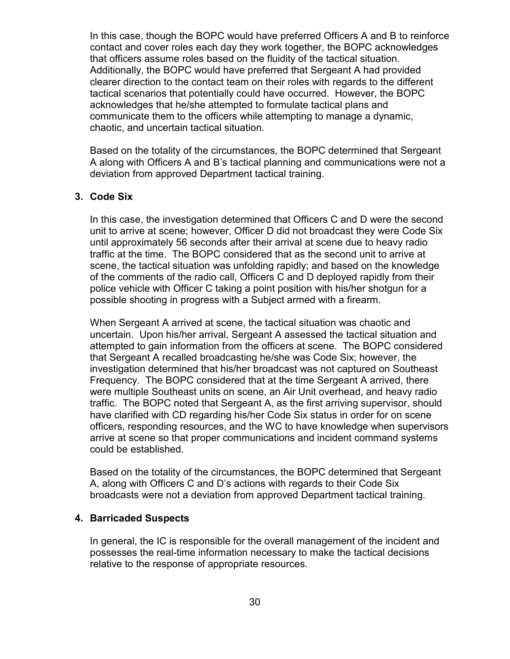In this case, though the BOPC would have preferred Officers A and B to reinforce contact and cover roles each day they work together, the BOPC acknowledges that officers assume roles based on the fluidity of the tactical situation. Additionally, the BOPC would have preferred that Sergeant A had provided clearer direction to the contact team on their roles with regards to the different tactical scenarios that potentially could have occurred. However, the BOPC acknowledges that he/she attempted to formulate tactical plans and communicate them to the officers while attempting to manage a dynamic, chaotic, and uncertain tactical situation.

Based on the totality of the circumstances, the BOPC determined that Sergeant A along with Officers A and B's tactical planning and communications were not a deviation from approved Department tactical training.

### **3. Code Six**

In this case, the investigation determined that Officers C and D were the second unit to arrive at scene; however, Officer D did not broadcast they were Code Six until approximately 56 seconds after their arrival at scene due to heavy radio traffic at the time. The BOPC considered that as the second unit to arrive at scene, the tactical situation was unfolding rapidly; and based on the knowledge of the comments of the radio call, Officers C and D deployed rapidly from their police vehicle with Officer C taking a point position with his/her shotgun for a possible shooting in progress with a Subject armed with a firearm.

When Sergeant A arrived at scene, the tactical situation was chaotic and uncertain. Upon his/her arrival, Sergeant A assessed the tactical situation and attempted to gain information from the officers at scene. The BOPC considered that Sergeant A recalled broadcasting he/she was Code Six; however, the investigation determined that his/her broadcast was not captured on Southeast Frequency. The BOPC considered that at the time Sergeant A arrived, there were multiple Southeast units on scene, an Air Unit overhead, and heavy radio traffic. The BOPC noted that Sergeant A, as the first arriving supervisor, should have clarified with CD regarding his/her Code Six status in order for on scene officers, responding resources, and the WC to have knowledge when supervisors arrive at scene so that proper communications and incident command systems could be established.

Based on the totality of the circumstances, the BOPC determined that Sergeant A, along with Officers C and D's actions with regards to their Code Six broadcasts were not a deviation from approved Department tactical training.

#### **4. Barricaded Suspects**

In general, the IC is responsible for the overall management of the incident and possesses the real-time information necessary to make the tactical decisions relative to the response of appropriate resources.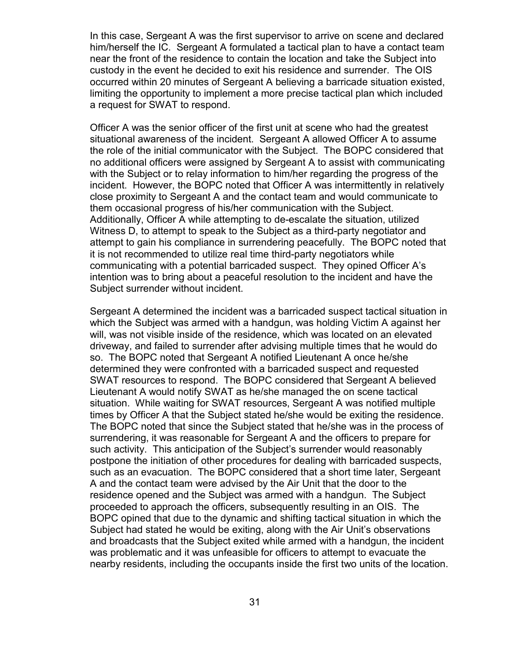In this case, Sergeant A was the first supervisor to arrive on scene and declared him/herself the IC. Sergeant A formulated a tactical plan to have a contact team near the front of the residence to contain the location and take the Subject into custody in the event he decided to exit his residence and surrender. The OIS occurred within 20 minutes of Sergeant A believing a barricade situation existed, limiting the opportunity to implement a more precise tactical plan which included a request for SWAT to respond.

Officer A was the senior officer of the first unit at scene who had the greatest situational awareness of the incident. Sergeant A allowed Officer A to assume the role of the initial communicator with the Subject. The BOPC considered that no additional officers were assigned by Sergeant A to assist with communicating with the Subject or to relay information to him/her regarding the progress of the incident. However, the BOPC noted that Officer A was intermittently in relatively close proximity to Sergeant A and the contact team and would communicate to them occasional progress of his/her communication with the Subject. Additionally, Officer A while attempting to de-escalate the situation, utilized Witness D, to attempt to speak to the Subject as a third-party negotiator and attempt to gain his compliance in surrendering peacefully. The BOPC noted that it is not recommended to utilize real time third-party negotiators while communicating with a potential barricaded suspect. They opined Officer A's intention was to bring about a peaceful resolution to the incident and have the Subject surrender without incident.

Sergeant A determined the incident was a barricaded suspect tactical situation in which the Subject was armed with a handgun, was holding Victim A against her will, was not visible inside of the residence, which was located on an elevated driveway, and failed to surrender after advising multiple times that he would do so. The BOPC noted that Sergeant A notified Lieutenant A once he/she determined they were confronted with a barricaded suspect and requested SWAT resources to respond. The BOPC considered that Sergeant A believed Lieutenant A would notify SWAT as he/she managed the on scene tactical situation. While waiting for SWAT resources, Sergeant A was notified multiple times by Officer A that the Subject stated he/she would be exiting the residence. The BOPC noted that since the Subject stated that he/she was in the process of surrendering, it was reasonable for Sergeant A and the officers to prepare for such activity. This anticipation of the Subject's surrender would reasonably postpone the initiation of other procedures for dealing with barricaded suspects, such as an evacuation. The BOPC considered that a short time later, Sergeant A and the contact team were advised by the Air Unit that the door to the residence opened and the Subject was armed with a handgun. The Subject proceeded to approach the officers, subsequently resulting in an OIS. The BOPC opined that due to the dynamic and shifting tactical situation in which the Subject had stated he would be exiting, along with the Air Unit's observations and broadcasts that the Subject exited while armed with a handgun, the incident was problematic and it was unfeasible for officers to attempt to evacuate the nearby residents, including the occupants inside the first two units of the location.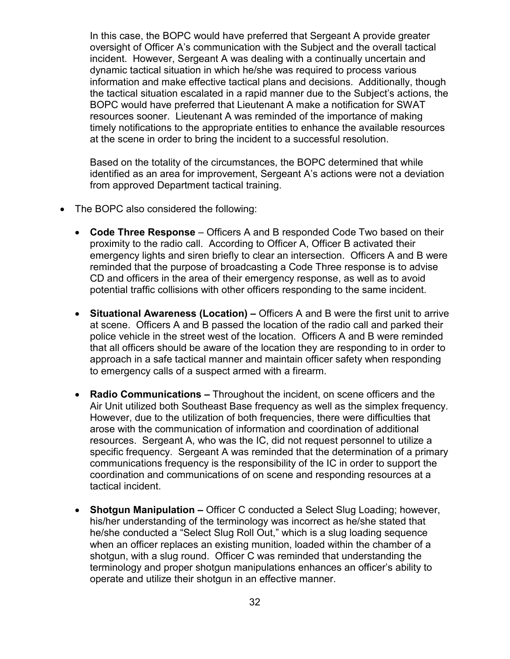In this case, the BOPC would have preferred that Sergeant A provide greater oversight of Officer A's communication with the Subject and the overall tactical incident. However, Sergeant A was dealing with a continually uncertain and dynamic tactical situation in which he/she was required to process various information and make effective tactical plans and decisions. Additionally, though the tactical situation escalated in a rapid manner due to the Subject's actions, the BOPC would have preferred that Lieutenant A make a notification for SWAT resources sooner. Lieutenant A was reminded of the importance of making timely notifications to the appropriate entities to enhance the available resources at the scene in order to bring the incident to a successful resolution.

Based on the totality of the circumstances, the BOPC determined that while identified as an area for improvement, Sergeant A's actions were not a deviation from approved Department tactical training.

- The BOPC also considered the following:
	- **Code Three Response** Officers A and B responded Code Two based on their proximity to the radio call. According to Officer A, Officer B activated their emergency lights and siren briefly to clear an intersection. Officers A and B were reminded that the purpose of broadcasting a Code Three response is to advise CD and officers in the area of their emergency response, as well as to avoid potential traffic collisions with other officers responding to the same incident.
	- **Situational Awareness (Location) Officers A and B were the first unit to arrive** at scene. Officers A and B passed the location of the radio call and parked their police vehicle in the street west of the location. Officers A and B were reminded that all officers should be aware of the location they are responding to in order to approach in a safe tactical manner and maintain officer safety when responding to emergency calls of a suspect armed with a firearm.
	- **Radio Communications –** Throughout the incident, on scene officers and the Air Unit utilized both Southeast Base frequency as well as the simplex frequency. However, due to the utilization of both frequencies, there were difficulties that arose with the communication of information and coordination of additional resources. Sergeant A, who was the IC, did not request personnel to utilize a specific frequency. Sergeant A was reminded that the determination of a primary communications frequency is the responsibility of the IC in order to support the coordination and communications of on scene and responding resources at a tactical incident.
	- **Shotgun Manipulation –** Officer C conducted a Select Slug Loading; however, his/her understanding of the terminology was incorrect as he/she stated that he/she conducted a "Select Slug Roll Out," which is a slug loading sequence when an officer replaces an existing munition, loaded within the chamber of a shotgun, with a slug round. Officer C was reminded that understanding the terminology and proper shotgun manipulations enhances an officer's ability to operate and utilize their shotgun in an effective manner.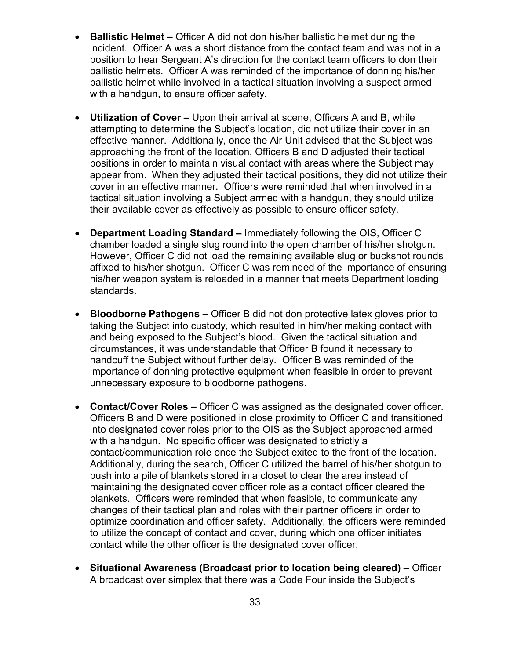- **Ballistic Helmet –** Officer A did not don his/her ballistic helmet during the incident. Officer A was a short distance from the contact team and was not in a position to hear Sergeant A's direction for the contact team officers to don their ballistic helmets. Officer A was reminded of the importance of donning his/her ballistic helmet while involved in a tactical situation involving a suspect armed with a handgun, to ensure officer safety.
- **Utilization of Cover –** Upon their arrival at scene, Officers A and B, while attempting to determine the Subject's location, did not utilize their cover in an effective manner. Additionally, once the Air Unit advised that the Subject was approaching the front of the location, Officers B and D adjusted their tactical positions in order to maintain visual contact with areas where the Subject may appear from. When they adjusted their tactical positions, they did not utilize their cover in an effective manner. Officers were reminded that when involved in a tactical situation involving a Subject armed with a handgun, they should utilize their available cover as effectively as possible to ensure officer safety.
- **Department Loading Standard –** Immediately following the OIS, Officer C chamber loaded a single slug round into the open chamber of his/her shotgun. However, Officer C did not load the remaining available slug or buckshot rounds affixed to his/her shotgun. Officer C was reminded of the importance of ensuring his/her weapon system is reloaded in a manner that meets Department loading standards.
- **Bloodborne Pathogens –** Officer B did not don protective latex gloves prior to taking the Subject into custody, which resulted in him/her making contact with and being exposed to the Subject's blood. Given the tactical situation and circumstances, it was understandable that Officer B found it necessary to handcuff the Subject without further delay. Officer B was reminded of the importance of donning protective equipment when feasible in order to prevent unnecessary exposure to bloodborne pathogens.
- **Contact/Cover Roles –** Officer C was assigned as the designated cover officer. Officers B and D were positioned in close proximity to Officer C and transitioned into designated cover roles prior to the OIS as the Subject approached armed with a handgun. No specific officer was designated to strictly a contact/communication role once the Subject exited to the front of the location. Additionally, during the search, Officer C utilized the barrel of his/her shotgun to push into a pile of blankets stored in a closet to clear the area instead of maintaining the designated cover officer role as a contact officer cleared the blankets. Officers were reminded that when feasible, to communicate any changes of their tactical plan and roles with their partner officers in order to optimize coordination and officer safety. Additionally, the officers were reminded to utilize the concept of contact and cover, during which one officer initiates contact while the other officer is the designated cover officer.
- **Situational Awareness (Broadcast prior to location being cleared) –** Officer A broadcast over simplex that there was a Code Four inside the Subject's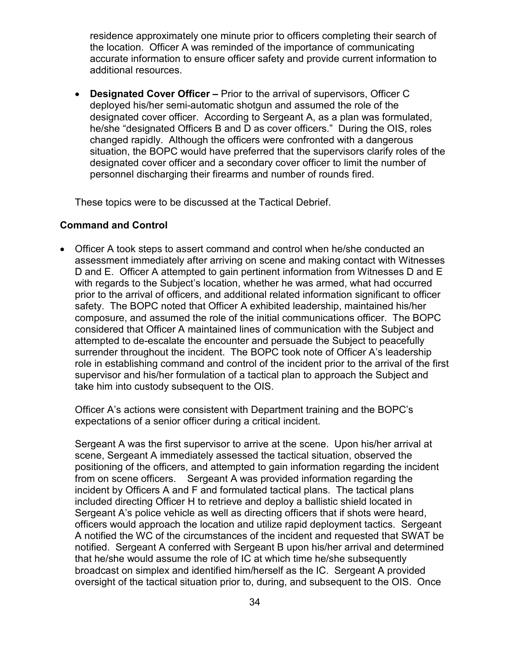residence approximately one minute prior to officers completing their search of the location. Officer A was reminded of the importance of communicating accurate information to ensure officer safety and provide current information to additional resources.

**Designated Cover Officer –** Prior to the arrival of supervisors, Officer C deployed his/her semi-automatic shotgun and assumed the role of the designated cover officer. According to Sergeant A, as a plan was formulated, he/she "designated Officers B and D as cover officers." During the OIS, roles changed rapidly. Although the officers were confronted with a dangerous situation, the BOPC would have preferred that the supervisors clarify roles of the designated cover officer and a secondary cover officer to limit the number of personnel discharging their firearms and number of rounds fired.

These topics were to be discussed at the Tactical Debrief.

#### **Command and Control**

• Officer A took steps to assert command and control when he/she conducted an assessment immediately after arriving on scene and making contact with Witnesses D and E. Officer A attempted to gain pertinent information from Witnesses D and E with regards to the Subject's location, whether he was armed, what had occurred prior to the arrival of officers, and additional related information significant to officer safety. The BOPC noted that Officer A exhibited leadership, maintained his/her composure, and assumed the role of the initial communications officer. The BOPC considered that Officer A maintained lines of communication with the Subject and attempted to de-escalate the encounter and persuade the Subject to peacefully surrender throughout the incident. The BOPC took note of Officer A's leadership role in establishing command and control of the incident prior to the arrival of the first supervisor and his/her formulation of a tactical plan to approach the Subject and take him into custody subsequent to the OIS.

Officer A's actions were consistent with Department training and the BOPC's expectations of a senior officer during a critical incident.

Sergeant A was the first supervisor to arrive at the scene. Upon his/her arrival at scene, Sergeant A immediately assessed the tactical situation, observed the positioning of the officers, and attempted to gain information regarding the incident from on scene officers. Sergeant A was provided information regarding the incident by Officers A and F and formulated tactical plans. The tactical plans included directing Officer H to retrieve and deploy a ballistic shield located in Sergeant A's police vehicle as well as directing officers that if shots were heard, officers would approach the location and utilize rapid deployment tactics. Sergeant A notified the WC of the circumstances of the incident and requested that SWAT be notified. Sergeant A conferred with Sergeant B upon his/her arrival and determined that he/she would assume the role of IC at which time he/she subsequently broadcast on simplex and identified him/herself as the IC. Sergeant A provided oversight of the tactical situation prior to, during, and subsequent to the OIS. Once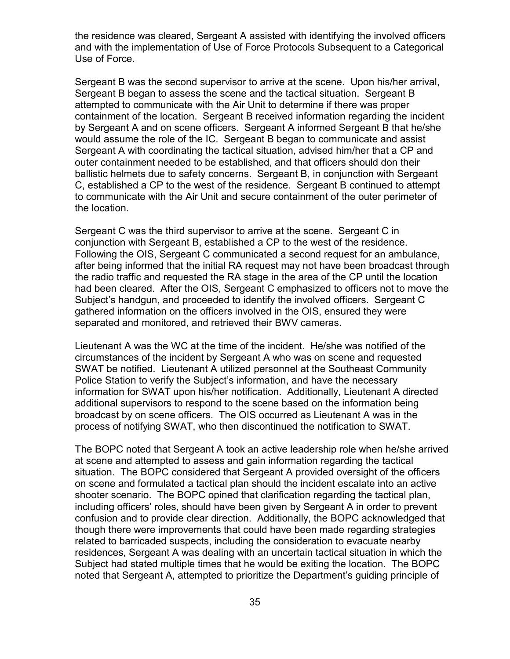the residence was cleared, Sergeant A assisted with identifying the involved officers and with the implementation of Use of Force Protocols Subsequent to a Categorical Use of Force.

Sergeant B was the second supervisor to arrive at the scene. Upon his/her arrival, Sergeant B began to assess the scene and the tactical situation. Sergeant B attempted to communicate with the Air Unit to determine if there was proper containment of the location. Sergeant B received information regarding the incident by Sergeant A and on scene officers. Sergeant A informed Sergeant B that he/she would assume the role of the IC. Sergeant B began to communicate and assist Sergeant A with coordinating the tactical situation, advised him/her that a CP and outer containment needed to be established, and that officers should don their ballistic helmets due to safety concerns. Sergeant B, in conjunction with Sergeant C, established a CP to the west of the residence. Sergeant B continued to attempt to communicate with the Air Unit and secure containment of the outer perimeter of the location.

Sergeant C was the third supervisor to arrive at the scene. Sergeant C in conjunction with Sergeant B, established a CP to the west of the residence. Following the OIS, Sergeant C communicated a second request for an ambulance, after being informed that the initial RA request may not have been broadcast through the radio traffic and requested the RA stage in the area of the CP until the location had been cleared. After the OIS, Sergeant C emphasized to officers not to move the Subject's handgun, and proceeded to identify the involved officers. Sergeant C gathered information on the officers involved in the OIS, ensured they were separated and monitored, and retrieved their BWV cameras.

Lieutenant A was the WC at the time of the incident. He/she was notified of the circumstances of the incident by Sergeant A who was on scene and requested SWAT be notified. Lieutenant A utilized personnel at the Southeast Community Police Station to verify the Subject's information, and have the necessary information for SWAT upon his/her notification. Additionally, Lieutenant A directed additional supervisors to respond to the scene based on the information being broadcast by on scene officers. The OIS occurred as Lieutenant A was in the process of notifying SWAT, who then discontinued the notification to SWAT.

The BOPC noted that Sergeant A took an active leadership role when he/she arrived at scene and attempted to assess and gain information regarding the tactical situation. The BOPC considered that Sergeant A provided oversight of the officers on scene and formulated a tactical plan should the incident escalate into an active shooter scenario. The BOPC opined that clarification regarding the tactical plan, including officers' roles, should have been given by Sergeant A in order to prevent confusion and to provide clear direction. Additionally, the BOPC acknowledged that though there were improvements that could have been made regarding strategies related to barricaded suspects, including the consideration to evacuate nearby residences, Sergeant A was dealing with an uncertain tactical situation in which the Subject had stated multiple times that he would be exiting the location. The BOPC noted that Sergeant A, attempted to prioritize the Department's guiding principle of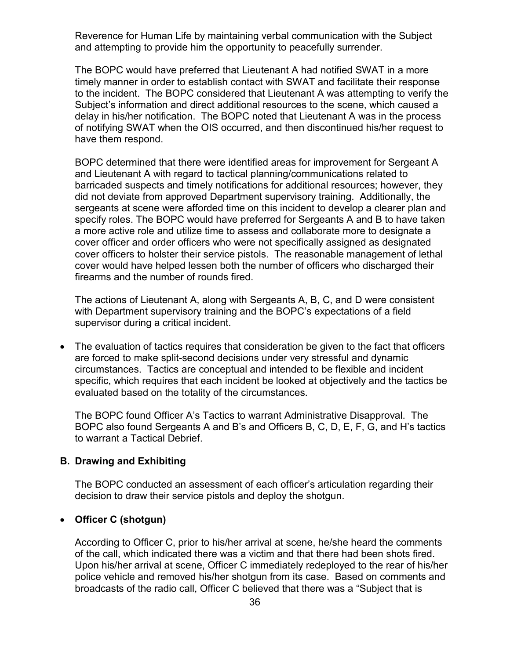Reverence for Human Life by maintaining verbal communication with the Subject and attempting to provide him the opportunity to peacefully surrender.

The BOPC would have preferred that Lieutenant A had notified SWAT in a more timely manner in order to establish contact with SWAT and facilitate their response to the incident. The BOPC considered that Lieutenant A was attempting to verify the Subject's information and direct additional resources to the scene, which caused a delay in his/her notification. The BOPC noted that Lieutenant A was in the process of notifying SWAT when the OIS occurred, and then discontinued his/her request to have them respond.

BOPC determined that there were identified areas for improvement for Sergeant A and Lieutenant A with regard to tactical planning/communications related to barricaded suspects and timely notifications for additional resources; however, they did not deviate from approved Department supervisory training. Additionally, the sergeants at scene were afforded time on this incident to develop a clearer plan and specify roles. The BOPC would have preferred for Sergeants A and B to have taken a more active role and utilize time to assess and collaborate more to designate a cover officer and order officers who were not specifically assigned as designated cover officers to holster their service pistols. The reasonable management of lethal cover would have helped lessen both the number of officers who discharged their firearms and the number of rounds fired.

The actions of Lieutenant A, along with Sergeants A, B, C, and D were consistent with Department supervisory training and the BOPC's expectations of a field supervisor during a critical incident.

• The evaluation of tactics requires that consideration be given to the fact that officers are forced to make split-second decisions under very stressful and dynamic circumstances. Tactics are conceptual and intended to be flexible and incident specific, which requires that each incident be looked at objectively and the tactics be evaluated based on the totality of the circumstances.

The BOPC found Officer A's Tactics to warrant Administrative Disapproval. The BOPC also found Sergeants A and B's and Officers B, C, D, E, F, G, and H's tactics to warrant a Tactical Debrief.

#### **B. Drawing and Exhibiting**

The BOPC conducted an assessment of each officer's articulation regarding their decision to draw their service pistols and deploy the shotgun.

#### • **Officer C (shotgun)**

According to Officer C, prior to his/her arrival at scene, he/she heard the comments of the call, which indicated there was a victim and that there had been shots fired. Upon his/her arrival at scene, Officer C immediately redeployed to the rear of his/her police vehicle and removed his/her shotgun from its case. Based on comments and broadcasts of the radio call, Officer C believed that there was a "Subject that is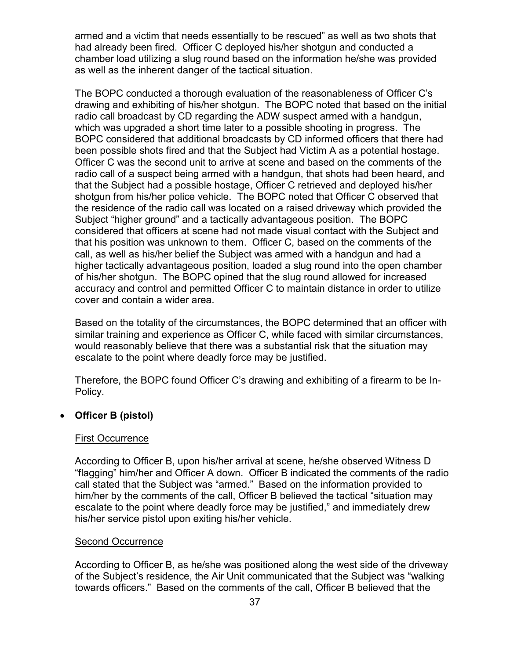armed and a victim that needs essentially to be rescued" as well as two shots that had already been fired. Officer C deployed his/her shotgun and conducted a chamber load utilizing a slug round based on the information he/she was provided as well as the inherent danger of the tactical situation.

The BOPC conducted a thorough evaluation of the reasonableness of Officer C's drawing and exhibiting of his/her shotgun. The BOPC noted that based on the initial radio call broadcast by CD regarding the ADW suspect armed with a handgun, which was upgraded a short time later to a possible shooting in progress. The BOPC considered that additional broadcasts by CD informed officers that there had been possible shots fired and that the Subject had Victim A as a potential hostage. Officer C was the second unit to arrive at scene and based on the comments of the radio call of a suspect being armed with a handgun, that shots had been heard, and that the Subject had a possible hostage, Officer C retrieved and deployed his/her shotgun from his/her police vehicle. The BOPC noted that Officer C observed that the residence of the radio call was located on a raised driveway which provided the Subject "higher ground" and a tactically advantageous position. The BOPC considered that officers at scene had not made visual contact with the Subject and that his position was unknown to them. Officer C, based on the comments of the call, as well as his/her belief the Subject was armed with a handgun and had a higher tactically advantageous position, loaded a slug round into the open chamber of his/her shotgun. The BOPC opined that the slug round allowed for increased accuracy and control and permitted Officer C to maintain distance in order to utilize cover and contain a wider area.

Based on the totality of the circumstances, the BOPC determined that an officer with similar training and experience as Officer C, while faced with similar circumstances, would reasonably believe that there was a substantial risk that the situation may escalate to the point where deadly force may be justified.

Therefore, the BOPC found Officer C's drawing and exhibiting of a firearm to be In-Policy.

### • **Officer B (pistol)**

#### First Occurrence

According to Officer B, upon his/her arrival at scene, he/she observed Witness D "flagging" him/her and Officer A down. Officer B indicated the comments of the radio call stated that the Subject was "armed." Based on the information provided to him/her by the comments of the call, Officer B believed the tactical "situation may escalate to the point where deadly force may be justified," and immediately drew his/her service pistol upon exiting his/her vehicle.

#### Second Occurrence

According to Officer B, as he/she was positioned along the west side of the driveway of the Subject's residence, the Air Unit communicated that the Subject was "walking towards officers." Based on the comments of the call, Officer B believed that the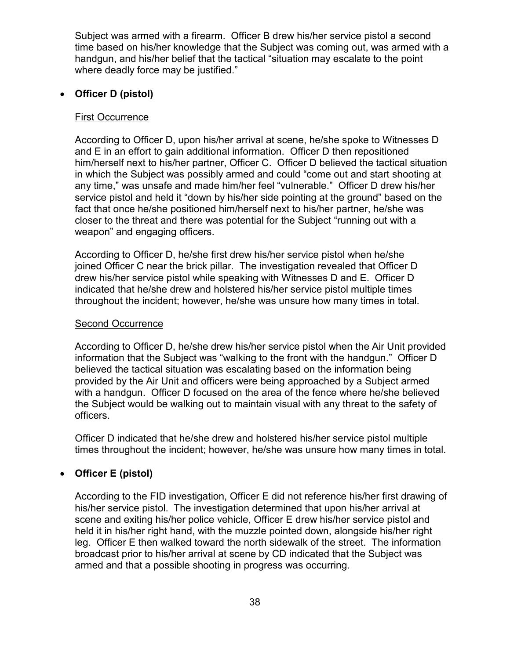Subject was armed with a firearm. Officer B drew his/her service pistol a second time based on his/her knowledge that the Subject was coming out, was armed with a handgun, and his/her belief that the tactical "situation may escalate to the point where deadly force may be justified."

### • **Officer D (pistol)**

#### First Occurrence

According to Officer D, upon his/her arrival at scene, he/she spoke to Witnesses D and E in an effort to gain additional information. Officer D then repositioned him/herself next to his/her partner, Officer C. Officer D believed the tactical situation in which the Subject was possibly armed and could "come out and start shooting at any time," was unsafe and made him/her feel "vulnerable." Officer D drew his/her service pistol and held it "down by his/her side pointing at the ground" based on the fact that once he/she positioned him/herself next to his/her partner, he/she was closer to the threat and there was potential for the Subject "running out with a weapon" and engaging officers.

According to Officer D, he/she first drew his/her service pistol when he/she joined Officer C near the brick pillar. The investigation revealed that Officer D drew his/her service pistol while speaking with Witnesses D and E. Officer D indicated that he/she drew and holstered his/her service pistol multiple times throughout the incident; however, he/she was unsure how many times in total.

#### Second Occurrence

According to Officer D, he/she drew his/her service pistol when the Air Unit provided information that the Subject was "walking to the front with the handgun." Officer D believed the tactical situation was escalating based on the information being provided by the Air Unit and officers were being approached by a Subject armed with a handgun. Officer D focused on the area of the fence where he/she believed the Subject would be walking out to maintain visual with any threat to the safety of officers.

Officer D indicated that he/she drew and holstered his/her service pistol multiple times throughout the incident; however, he/she was unsure how many times in total.

### • **Officer E (pistol)**

According to the FID investigation, Officer E did not reference his/her first drawing of his/her service pistol. The investigation determined that upon his/her arrival at scene and exiting his/her police vehicle, Officer E drew his/her service pistol and held it in his/her right hand, with the muzzle pointed down, alongside his/her right leg. Officer E then walked toward the north sidewalk of the street. The information broadcast prior to his/her arrival at scene by CD indicated that the Subject was armed and that a possible shooting in progress was occurring.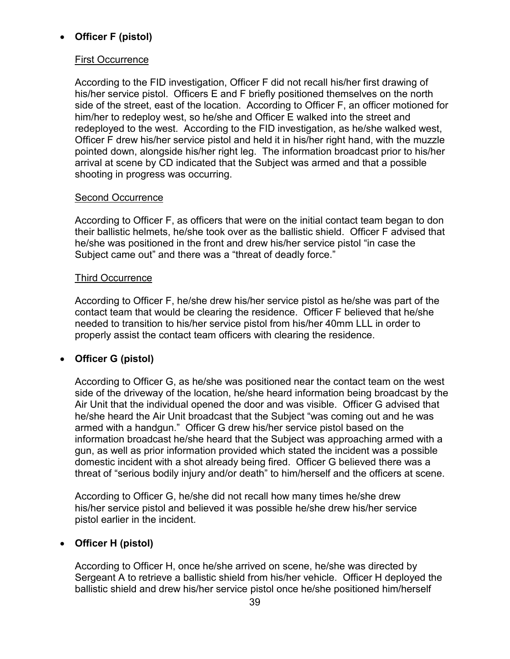# • **Officer F (pistol)**

### First Occurrence

According to the FID investigation, Officer F did not recall his/her first drawing of his/her service pistol. Officers E and F briefly positioned themselves on the north side of the street, east of the location. According to Officer F, an officer motioned for him/her to redeploy west, so he/she and Officer E walked into the street and redeployed to the west. According to the FID investigation, as he/she walked west, Officer F drew his/her service pistol and held it in his/her right hand, with the muzzle pointed down, alongside his/her right leg. The information broadcast prior to his/her arrival at scene by CD indicated that the Subject was armed and that a possible shooting in progress was occurring.

### Second Occurrence

According to Officer F, as officers that were on the initial contact team began to don their ballistic helmets, he/she took over as the ballistic shield. Officer F advised that he/she was positioned in the front and drew his/her service pistol "in case the Subject came out" and there was a "threat of deadly force."

### Third Occurrence

According to Officer F, he/she drew his/her service pistol as he/she was part of the contact team that would be clearing the residence. Officer F believed that he/she needed to transition to his/her service pistol from his/her 40mm LLL in order to properly assist the contact team officers with clearing the residence.

### • **Officer G (pistol)**

According to Officer G, as he/she was positioned near the contact team on the west side of the driveway of the location, he/she heard information being broadcast by the Air Unit that the individual opened the door and was visible. Officer G advised that he/she heard the Air Unit broadcast that the Subject "was coming out and he was armed with a handgun." Officer G drew his/her service pistol based on the information broadcast he/she heard that the Subject was approaching armed with a gun, as well as prior information provided which stated the incident was a possible domestic incident with a shot already being fired. Officer G believed there was a threat of "serious bodily injury and/or death" to him/herself and the officers at scene.

According to Officer G, he/she did not recall how many times he/she drew his/her service pistol and believed it was possible he/she drew his/her service pistol earlier in the incident.

### • **Officer H (pistol)**

According to Officer H, once he/she arrived on scene, he/she was directed by Sergeant A to retrieve a ballistic shield from his/her vehicle. Officer H deployed the ballistic shield and drew his/her service pistol once he/she positioned him/herself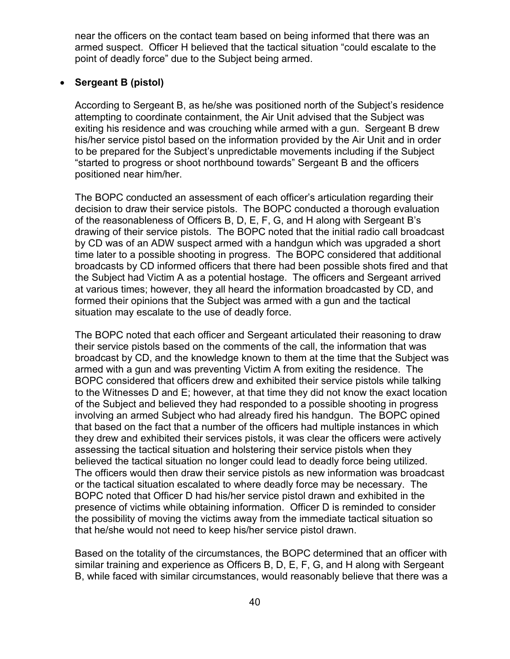near the officers on the contact team based on being informed that there was an armed suspect. Officer H believed that the tactical situation "could escalate to the point of deadly force" due to the Subject being armed.

### • **Sergeant B (pistol)**

According to Sergeant B, as he/she was positioned north of the Subject's residence attempting to coordinate containment, the Air Unit advised that the Subject was exiting his residence and was crouching while armed with a gun. Sergeant B drew his/her service pistol based on the information provided by the Air Unit and in order to be prepared for the Subject's unpredictable movements including if the Subject "started to progress or shoot northbound towards" Sergeant B and the officers positioned near him/her.

The BOPC conducted an assessment of each officer's articulation regarding their decision to draw their service pistols. The BOPC conducted a thorough evaluation of the reasonableness of Officers B, D, E, F, G, and H along with Sergeant B's drawing of their service pistols. The BOPC noted that the initial radio call broadcast by CD was of an ADW suspect armed with a handgun which was upgraded a short time later to a possible shooting in progress. The BOPC considered that additional broadcasts by CD informed officers that there had been possible shots fired and that the Subject had Victim A as a potential hostage. The officers and Sergeant arrived at various times; however, they all heard the information broadcasted by CD, and formed their opinions that the Subject was armed with a gun and the tactical situation may escalate to the use of deadly force.

The BOPC noted that each officer and Sergeant articulated their reasoning to draw their service pistols based on the comments of the call, the information that was broadcast by CD, and the knowledge known to them at the time that the Subject was armed with a gun and was preventing Victim A from exiting the residence. The BOPC considered that officers drew and exhibited their service pistols while talking to the Witnesses D and E; however, at that time they did not know the exact location of the Subject and believed they had responded to a possible shooting in progress involving an armed Subject who had already fired his handgun. The BOPC opined that based on the fact that a number of the officers had multiple instances in which they drew and exhibited their services pistols, it was clear the officers were actively assessing the tactical situation and holstering their service pistols when they believed the tactical situation no longer could lead to deadly force being utilized. The officers would then draw their service pistols as new information was broadcast or the tactical situation escalated to where deadly force may be necessary. The BOPC noted that Officer D had his/her service pistol drawn and exhibited in the presence of victims while obtaining information. Officer D is reminded to consider the possibility of moving the victims away from the immediate tactical situation so that he/she would not need to keep his/her service pistol drawn.

Based on the totality of the circumstances, the BOPC determined that an officer with similar training and experience as Officers B, D, E, F, G, and H along with Sergeant B, while faced with similar circumstances, would reasonably believe that there was a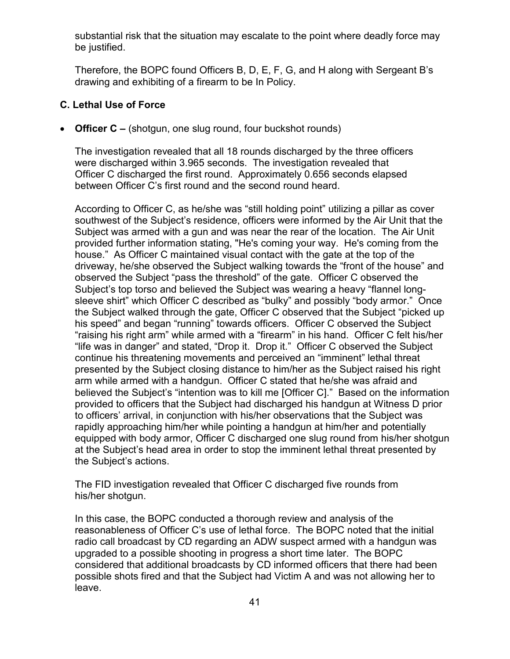substantial risk that the situation may escalate to the point where deadly force may be justified.

Therefore, the BOPC found Officers B, D, E, F, G, and H along with Sergeant B's drawing and exhibiting of a firearm to be In Policy.

# **C. Lethal Use of Force**

• **Officer C –** (shotgun, one slug round, four buckshot rounds)

The investigation revealed that all 18 rounds discharged by the three officers were discharged within 3.965 seconds. The investigation revealed that Officer C discharged the first round. Approximately 0.656 seconds elapsed between Officer C's first round and the second round heard.

According to Officer C, as he/she was "still holding point" utilizing a pillar as cover southwest of the Subject's residence, officers were informed by the Air Unit that the Subject was armed with a gun and was near the rear of the location. The Air Unit provided further information stating, "He's coming your way. He's coming from the house." As Officer C maintained visual contact with the gate at the top of the driveway, he/she observed the Subject walking towards the "front of the house" and observed the Subject "pass the threshold" of the gate. Officer C observed the Subject's top torso and believed the Subject was wearing a heavy "flannel longsleeve shirt" which Officer C described as "bulky" and possibly "body armor." Once the Subject walked through the gate, Officer C observed that the Subject "picked up his speed" and began "running" towards officers. Officer C observed the Subject "raising his right arm" while armed with a "firearm" in his hand. Officer C felt his/her "life was in danger" and stated, "Drop it. Drop it." Officer C observed the Subject continue his threatening movements and perceived an "imminent" lethal threat presented by the Subject closing distance to him/her as the Subject raised his right arm while armed with a handgun. Officer C stated that he/she was afraid and believed the Subject's "intention was to kill me [Officer C]." Based on the information provided to officers that the Subject had discharged his handgun at Witness D prior to officers' arrival, in conjunction with his/her observations that the Subject was rapidly approaching him/her while pointing a handgun at him/her and potentially equipped with body armor, Officer C discharged one slug round from his/her shotgun at the Subject's head area in order to stop the imminent lethal threat presented by the Subject's actions.

The FID investigation revealed that Officer C discharged five rounds from his/her shotgun.

In this case, the BOPC conducted a thorough review and analysis of the reasonableness of Officer C's use of lethal force. The BOPC noted that the initial radio call broadcast by CD regarding an ADW suspect armed with a handgun was upgraded to a possible shooting in progress a short time later. The BOPC considered that additional broadcasts by CD informed officers that there had been possible shots fired and that the Subject had Victim A and was not allowing her to leave.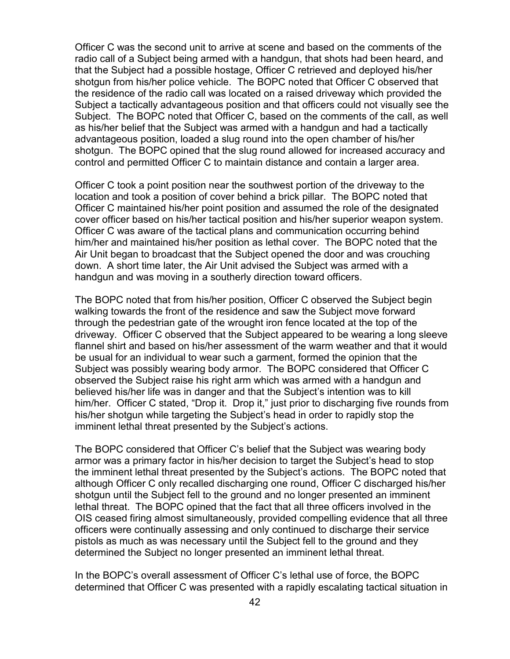Officer C was the second unit to arrive at scene and based on the comments of the radio call of a Subject being armed with a handgun, that shots had been heard, and that the Subject had a possible hostage, Officer C retrieved and deployed his/her shotgun from his/her police vehicle. The BOPC noted that Officer C observed that the residence of the radio call was located on a raised driveway which provided the Subject a tactically advantageous position and that officers could not visually see the Subject. The BOPC noted that Officer C, based on the comments of the call, as well as his/her belief that the Subject was armed with a handgun and had a tactically advantageous position, loaded a slug round into the open chamber of his/her shotgun. The BOPC opined that the slug round allowed for increased accuracy and control and permitted Officer C to maintain distance and contain a larger area.

Officer C took a point position near the southwest portion of the driveway to the location and took a position of cover behind a brick pillar. The BOPC noted that Officer C maintained his/her point position and assumed the role of the designated cover officer based on his/her tactical position and his/her superior weapon system. Officer C was aware of the tactical plans and communication occurring behind him/her and maintained his/her position as lethal cover. The BOPC noted that the Air Unit began to broadcast that the Subject opened the door and was crouching down. A short time later, the Air Unit advised the Subject was armed with a handgun and was moving in a southerly direction toward officers.

The BOPC noted that from his/her position, Officer C observed the Subject begin walking towards the front of the residence and saw the Subject move forward through the pedestrian gate of the wrought iron fence located at the top of the driveway. Officer C observed that the Subject appeared to be wearing a long sleeve flannel shirt and based on his/her assessment of the warm weather and that it would be usual for an individual to wear such a garment, formed the opinion that the Subject was possibly wearing body armor. The BOPC considered that Officer C observed the Subject raise his right arm which was armed with a handgun and believed his/her life was in danger and that the Subject's intention was to kill him/her. Officer C stated, "Drop it. Drop it," just prior to discharging five rounds from his/her shotgun while targeting the Subject's head in order to rapidly stop the imminent lethal threat presented by the Subject's actions.

The BOPC considered that Officer C's belief that the Subject was wearing body armor was a primary factor in his/her decision to target the Subject's head to stop the imminent lethal threat presented by the Subject's actions. The BOPC noted that although Officer C only recalled discharging one round, Officer C discharged his/her shotgun until the Subject fell to the ground and no longer presented an imminent lethal threat. The BOPC opined that the fact that all three officers involved in the OIS ceased firing almost simultaneously, provided compelling evidence that all three officers were continually assessing and only continued to discharge their service pistols as much as was necessary until the Subject fell to the ground and they determined the Subject no longer presented an imminent lethal threat.

In the BOPC's overall assessment of Officer C's lethal use of force, the BOPC determined that Officer C was presented with a rapidly escalating tactical situation in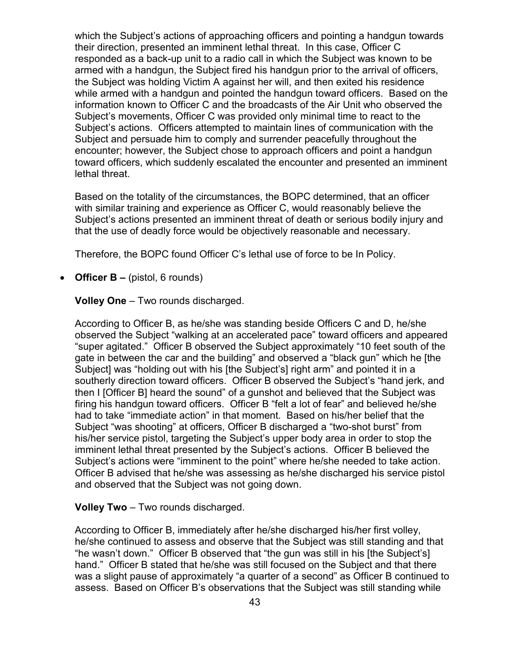which the Subject's actions of approaching officers and pointing a handgun towards their direction, presented an imminent lethal threat. In this case, Officer C responded as a back-up unit to a radio call in which the Subject was known to be armed with a handgun, the Subject fired his handgun prior to the arrival of officers, the Subject was holding Victim A against her will, and then exited his residence while armed with a handgun and pointed the handgun toward officers. Based on the information known to Officer C and the broadcasts of the Air Unit who observed the Subject's movements, Officer C was provided only minimal time to react to the Subject's actions. Officers attempted to maintain lines of communication with the Subject and persuade him to comply and surrender peacefully throughout the encounter; however, the Subject chose to approach officers and point a handgun toward officers, which suddenly escalated the encounter and presented an imminent lethal threat.

Based on the totality of the circumstances, the BOPC determined, that an officer with similar training and experience as Officer C, would reasonably believe the Subject's actions presented an imminent threat of death or serious bodily injury and that the use of deadly force would be objectively reasonable and necessary.

Therefore, the BOPC found Officer C's lethal use of force to be In Policy.

• **Officer B –** (pistol, 6 rounds)

**Volley One** – Two rounds discharged.

According to Officer B, as he/she was standing beside Officers C and D, he/she observed the Subject "walking at an accelerated pace" toward officers and appeared "super agitated." Officer B observed the Subject approximately "10 feet south of the gate in between the car and the building" and observed a "black gun" which he [the Subject] was "holding out with his [the Subject's] right arm" and pointed it in a southerly direction toward officers. Officer B observed the Subject's "hand jerk, and then I [Officer B] heard the sound" of a gunshot and believed that the Subject was firing his handgun toward officers. Officer B "felt a lot of fear" and believed he/she had to take "immediate action" in that moment. Based on his/her belief that the Subject "was shooting" at officers, Officer B discharged a "two-shot burst" from his/her service pistol, targeting the Subject's upper body area in order to stop the imminent lethal threat presented by the Subject's actions. Officer B believed the Subject's actions were "imminent to the point" where he/she needed to take action. Officer B advised that he/she was assessing as he/she discharged his service pistol and observed that the Subject was not going down.

**Volley Two** – Two rounds discharged.

According to Officer B, immediately after he/she discharged his/her first volley, he/she continued to assess and observe that the Subject was still standing and that "he wasn't down." Officer B observed that "the gun was still in his [the Subject's] hand." Officer B stated that he/she was still focused on the Subject and that there was a slight pause of approximately "a quarter of a second" as Officer B continued to assess. Based on Officer B's observations that the Subject was still standing while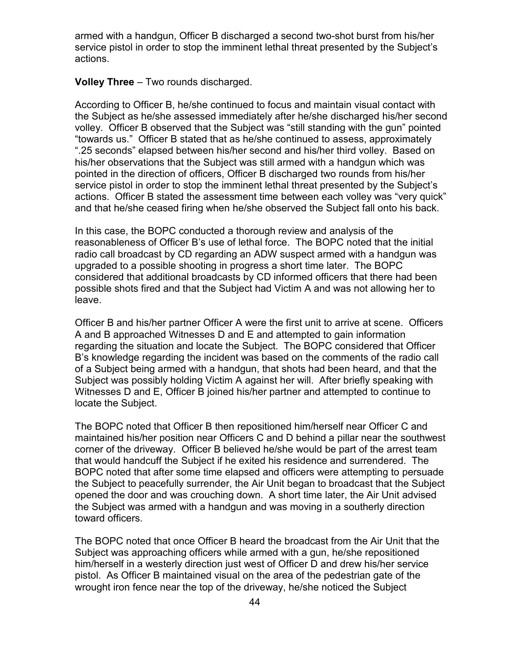armed with a handgun, Officer B discharged a second two-shot burst from his/her service pistol in order to stop the imminent lethal threat presented by the Subject's actions.

**Volley Three** – Two rounds discharged.

According to Officer B, he/she continued to focus and maintain visual contact with the Subject as he/she assessed immediately after he/she discharged his/her second volley. Officer B observed that the Subject was "still standing with the gun" pointed "towards us." Officer B stated that as he/she continued to assess, approximately ".25 seconds" elapsed between his/her second and his/her third volley. Based on his/her observations that the Subject was still armed with a handgun which was pointed in the direction of officers, Officer B discharged two rounds from his/her service pistol in order to stop the imminent lethal threat presented by the Subject's actions. Officer B stated the assessment time between each volley was "very quick" and that he/she ceased firing when he/she observed the Subject fall onto his back.

In this case, the BOPC conducted a thorough review and analysis of the reasonableness of Officer B's use of lethal force. The BOPC noted that the initial radio call broadcast by CD regarding an ADW suspect armed with a handgun was upgraded to a possible shooting in progress a short time later. The BOPC considered that additional broadcasts by CD informed officers that there had been possible shots fired and that the Subject had Victim A and was not allowing her to leave.

Officer B and his/her partner Officer A were the first unit to arrive at scene. Officers A and B approached Witnesses D and E and attempted to gain information regarding the situation and locate the Subject. The BOPC considered that Officer B's knowledge regarding the incident was based on the comments of the radio call of a Subject being armed with a handgun, that shots had been heard, and that the Subject was possibly holding Victim A against her will. After briefly speaking with Witnesses D and E, Officer B joined his/her partner and attempted to continue to locate the Subject.

The BOPC noted that Officer B then repositioned him/herself near Officer C and maintained his/her position near Officers C and D behind a pillar near the southwest corner of the driveway. Officer B believed he/she would be part of the arrest team that would handcuff the Subject if he exited his residence and surrendered. The BOPC noted that after some time elapsed and officers were attempting to persuade the Subject to peacefully surrender, the Air Unit began to broadcast that the Subject opened the door and was crouching down. A short time later, the Air Unit advised the Subject was armed with a handgun and was moving in a southerly direction toward officers.

The BOPC noted that once Officer B heard the broadcast from the Air Unit that the Subject was approaching officers while armed with a gun, he/she repositioned him/herself in a westerly direction just west of Officer D and drew his/her service pistol. As Officer B maintained visual on the area of the pedestrian gate of the wrought iron fence near the top of the driveway, he/she noticed the Subject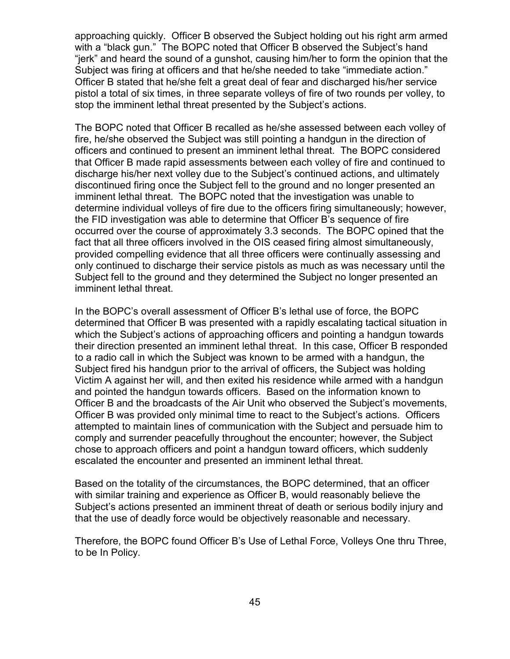approaching quickly. Officer B observed the Subject holding out his right arm armed with a "black gun." The BOPC noted that Officer B observed the Subject's hand "jerk" and heard the sound of a gunshot, causing him/her to form the opinion that the Subject was firing at officers and that he/she needed to take "immediate action." Officer B stated that he/she felt a great deal of fear and discharged his/her service pistol a total of six times, in three separate volleys of fire of two rounds per volley, to stop the imminent lethal threat presented by the Subject's actions.

The BOPC noted that Officer B recalled as he/she assessed between each volley of fire, he/she observed the Subject was still pointing a handgun in the direction of officers and continued to present an imminent lethal threat. The BOPC considered that Officer B made rapid assessments between each volley of fire and continued to discharge his/her next volley due to the Subject's continued actions, and ultimately discontinued firing once the Subject fell to the ground and no longer presented an imminent lethal threat. The BOPC noted that the investigation was unable to determine individual volleys of fire due to the officers firing simultaneously; however, the FID investigation was able to determine that Officer B's sequence of fire occurred over the course of approximately 3.3 seconds. The BOPC opined that the fact that all three officers involved in the OIS ceased firing almost simultaneously, provided compelling evidence that all three officers were continually assessing and only continued to discharge their service pistols as much as was necessary until the Subject fell to the ground and they determined the Subject no longer presented an imminent lethal threat.

In the BOPC's overall assessment of Officer B's lethal use of force, the BOPC determined that Officer B was presented with a rapidly escalating tactical situation in which the Subject's actions of approaching officers and pointing a handgun towards their direction presented an imminent lethal threat. In this case, Officer B responded to a radio call in which the Subject was known to be armed with a handgun, the Subject fired his handgun prior to the arrival of officers, the Subject was holding Victim A against her will, and then exited his residence while armed with a handgun and pointed the handgun towards officers. Based on the information known to Officer B and the broadcasts of the Air Unit who observed the Subject's movements, Officer B was provided only minimal time to react to the Subject's actions. Officers attempted to maintain lines of communication with the Subject and persuade him to comply and surrender peacefully throughout the encounter; however, the Subject chose to approach officers and point a handgun toward officers, which suddenly escalated the encounter and presented an imminent lethal threat.

Based on the totality of the circumstances, the BOPC determined, that an officer with similar training and experience as Officer B, would reasonably believe the Subject's actions presented an imminent threat of death or serious bodily injury and that the use of deadly force would be objectively reasonable and necessary.

Therefore, the BOPC found Officer B's Use of Lethal Force, Volleys One thru Three, to be In Policy.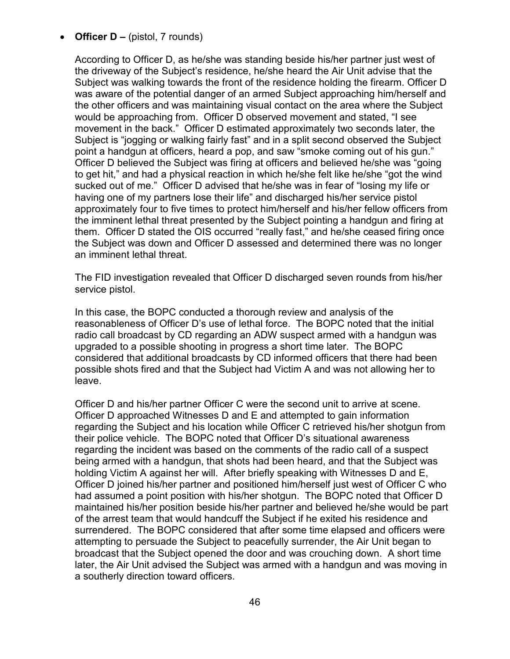# • **Officer D –** (pistol, 7 rounds)

According to Officer D, as he/she was standing beside his/her partner just west of the driveway of the Subject's residence, he/she heard the Air Unit advise that the Subject was walking towards the front of the residence holding the firearm. Officer D was aware of the potential danger of an armed Subject approaching him/herself and the other officers and was maintaining visual contact on the area where the Subject would be approaching from. Officer D observed movement and stated, "I see movement in the back." Officer D estimated approximately two seconds later, the Subject is "jogging or walking fairly fast" and in a split second observed the Subject point a handgun at officers, heard a pop, and saw "smoke coming out of his gun." Officer D believed the Subject was firing at officers and believed he/she was "going to get hit," and had a physical reaction in which he/she felt like he/she "got the wind sucked out of me." Officer D advised that he/she was in fear of "losing my life or having one of my partners lose their life" and discharged his/her service pistol approximately four to five times to protect him/herself and his/her fellow officers from the imminent lethal threat presented by the Subject pointing a handgun and firing at them. Officer D stated the OIS occurred "really fast," and he/she ceased firing once the Subject was down and Officer D assessed and determined there was no longer an imminent lethal threat.

The FID investigation revealed that Officer D discharged seven rounds from his/her service pistol.

In this case, the BOPC conducted a thorough review and analysis of the reasonableness of Officer D's use of lethal force. The BOPC noted that the initial radio call broadcast by CD regarding an ADW suspect armed with a handgun was upgraded to a possible shooting in progress a short time later. The BOPC considered that additional broadcasts by CD informed officers that there had been possible shots fired and that the Subject had Victim A and was not allowing her to leave.

Officer D and his/her partner Officer C were the second unit to arrive at scene. Officer D approached Witnesses D and E and attempted to gain information regarding the Subject and his location while Officer C retrieved his/her shotgun from their police vehicle. The BOPC noted that Officer D's situational awareness regarding the incident was based on the comments of the radio call of a suspect being armed with a handgun, that shots had been heard, and that the Subject was holding Victim A against her will. After briefly speaking with Witnesses D and E, Officer D joined his/her partner and positioned him/herself just west of Officer C who had assumed a point position with his/her shotgun. The BOPC noted that Officer D maintained his/her position beside his/her partner and believed he/she would be part of the arrest team that would handcuff the Subject if he exited his residence and surrendered. The BOPC considered that after some time elapsed and officers were attempting to persuade the Subject to peacefully surrender, the Air Unit began to broadcast that the Subject opened the door and was crouching down. A short time later, the Air Unit advised the Subject was armed with a handgun and was moving in a southerly direction toward officers.